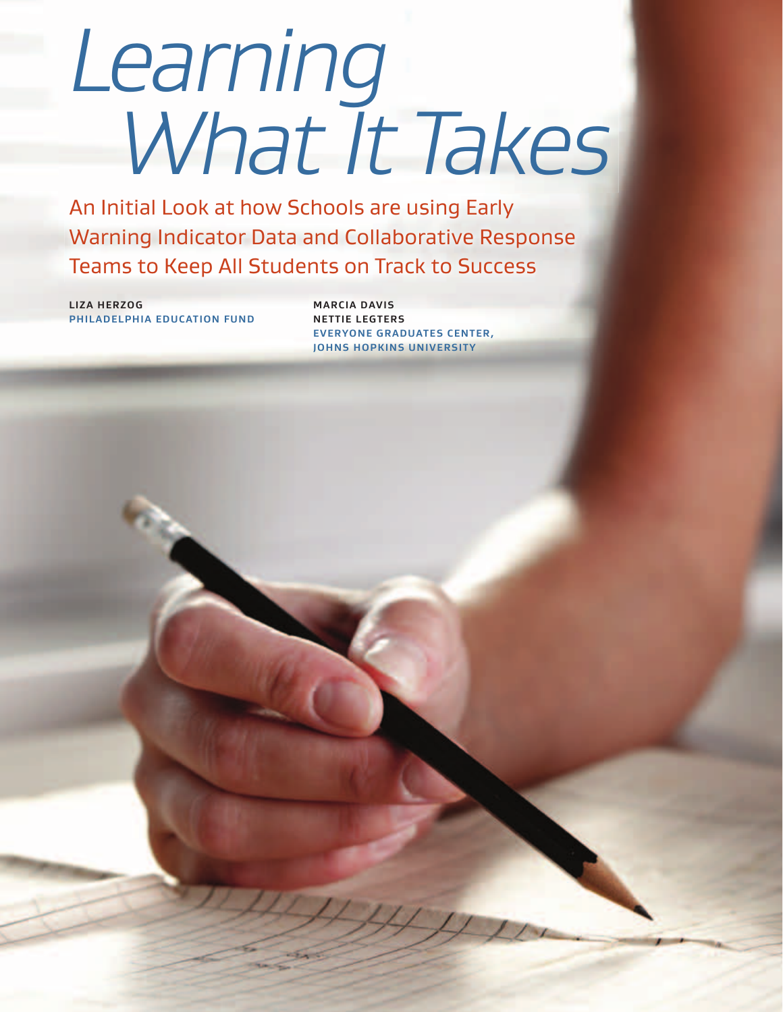# *Learning What it takes*

An Initial Look at how Schools are using Early Warning Indicator Data and Collaborative Response Teams to Keep All Students on Track to Success

**lIZa hERZog PhIlaDElPhIa EDUCaTIoN FUND** **MaRCIa DavIS NETTIE lEgTERS EvERyoNE gRaDUaTES CENTER, JohNS hoPKINS UNIvERSITy**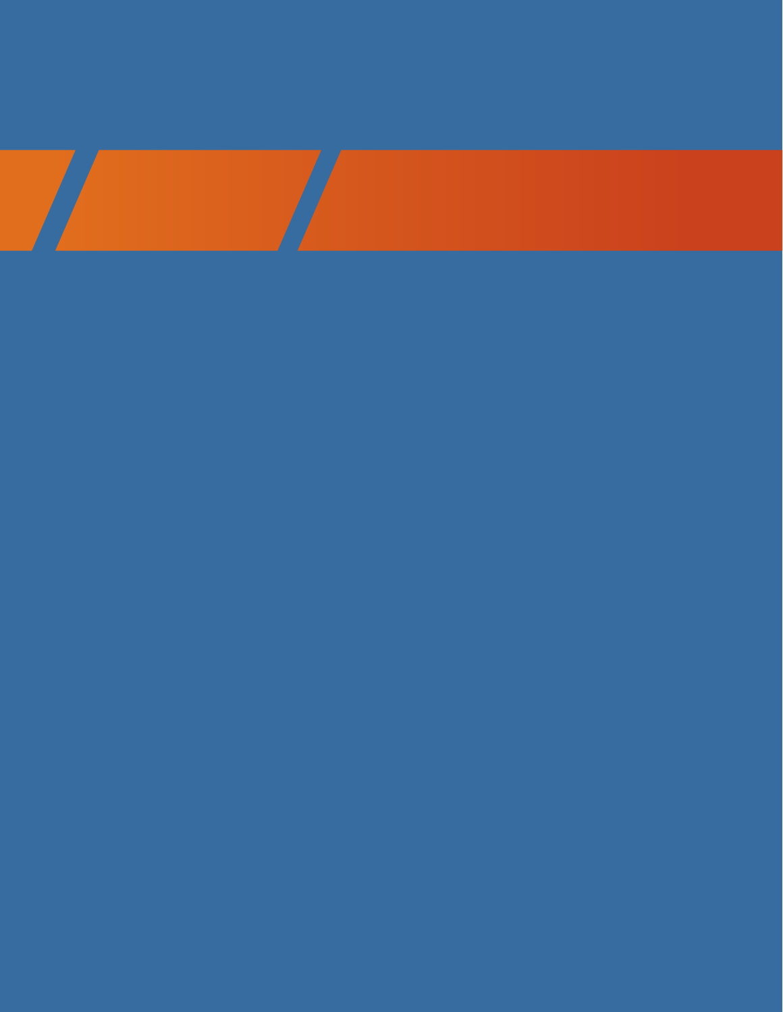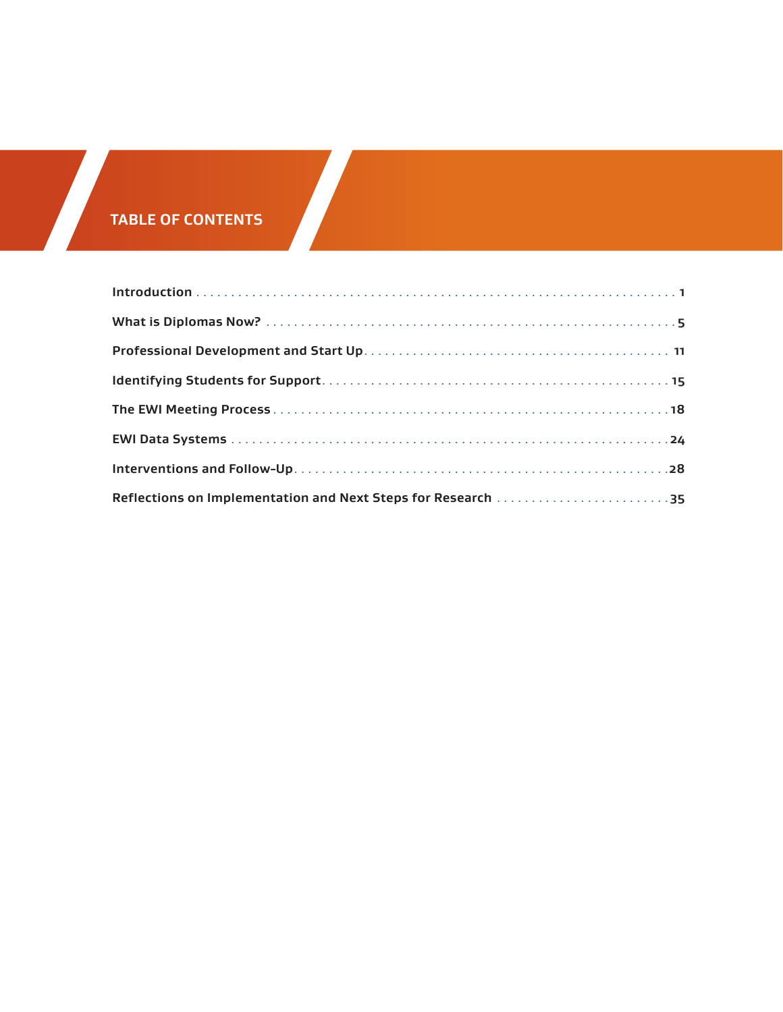# **TABLE OF CONTENTS**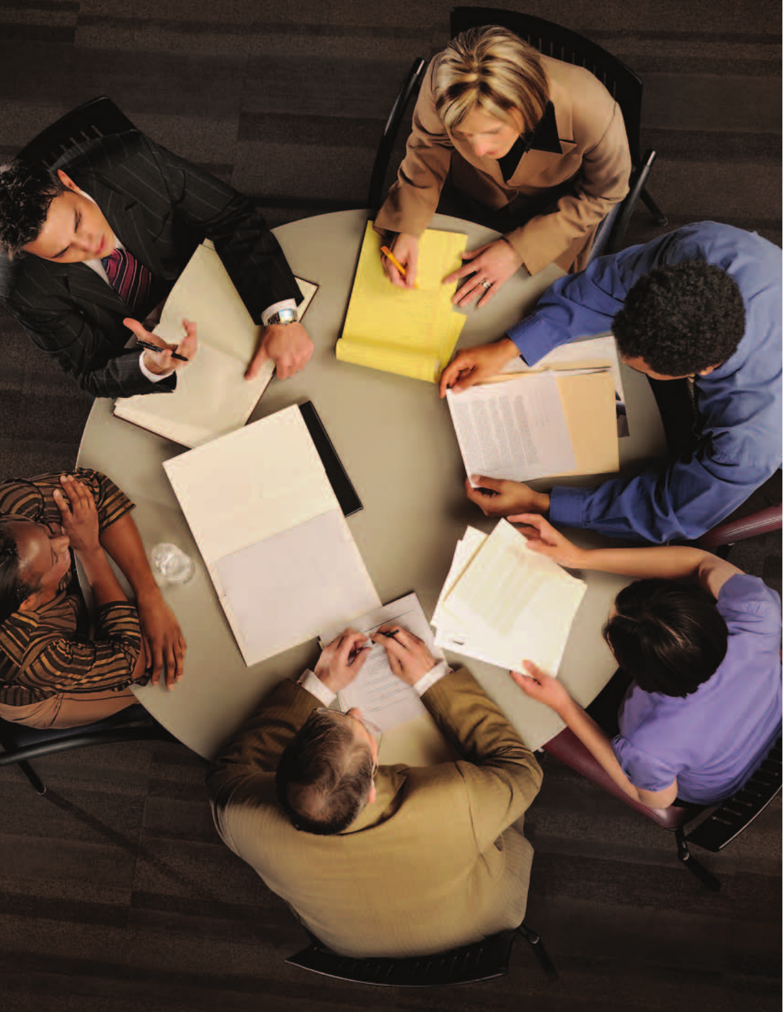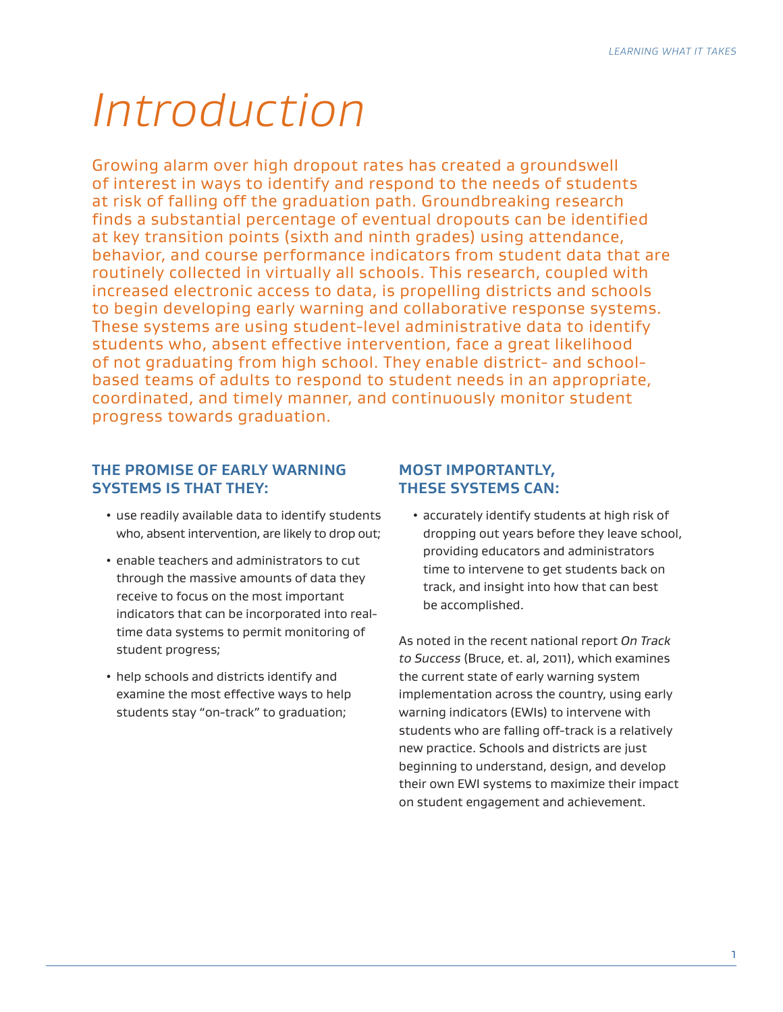# <span id="page-4-0"></span>*Introduction*

Growing alarm over high dropout rates has created a groundswell of interest in ways to identify and respond to the needs of students at risk of falling off the graduation path. Groundbreaking research finds a substantial percentage of eventual dropouts can be identified at key transition points (sixth and ninth grades) using attendance, behavior, and course performance indicators from student data that are routinely collected in virtually all schools. This research, coupled with increased electronic access to data, is propelling districts and schools to begin developing early warning and collaborative response systems. These systems are using student-level administrative data to identify students who, absent effective intervention, face a great likelihood of not graduating from high school. They enable district- and schoolbased teams of adults to respond to student needs in an appropriate, coordinated, and timely manner, and continuously monitor student progress towards graduation.

#### **The promise of early warning systems is that they:**

- use readily available data to identify students who, absent intervention, are likely to drop out;
- enable teachers and administrators to cut through the massive amounts of data they receive to focus on the most important indicators that can be incorporated into realtime data systems to permit monitoring of student progress;
- help schools and districts identify and examine the most effective ways to help students stay "on-track" to graduation;

#### **Most importantly, these systems can:**

• accurately identify students at high risk of dropping out years before they leave school, providing educators and administrators time to intervene to get students back on track, and insight into how that can best be accomplished.

As noted in the recent national report *On Track to Success* (Bruce, et. al, 2011), which examines the current state of early warning system implementation across the country, using early warning indicators (EWIs) to intervene with students who are falling off-track is a relatively new practice. Schools and districts are just beginning to understand, design, and develop their own EWI systems to maximize their impact on student engagement and achievement.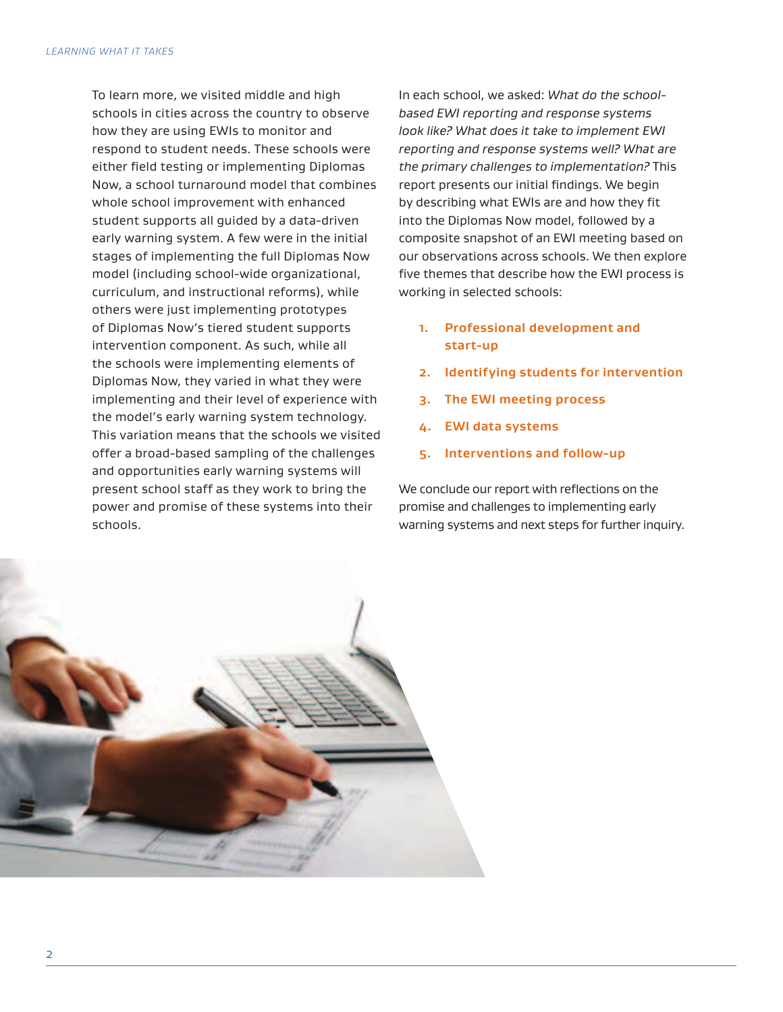To learn more, we visited middle and high schools in cities across the country to observe how they are using EWIs to monitor and respond to student needs. These schools were either field testing or implementing Diplomas Now, a school turnaround model that combines whole school improvement with enhanced student supports all guided by a data-driven early warning system. A few were in the initial stages of implementing the full Diplomas Now model (including school-wide organizational, curriculum, and instructional reforms), while others were just implementing prototypes of Diplomas Now's tiered student supports intervention component. As such, while all the schools were implementing elements of Diplomas Now, they varied in what they were implementing and their level of experience with the model's early warning system technology. This variation means that the schools we visited offer a broad-based sampling of the challenges and opportunities early warning systems will present school staff as they work to bring the power and promise of these systems into their schools.

In each school, we asked: *What do the schoolbased EWI reporting and response systems look like? What does it take to implement EWI reporting and response systems well? What are the primary challenges to implementation?* This report presents our initial findings. We begin by describing what EWIs are and how they fit into the Diplomas Now model, followed by a composite snapshot of an EWI meeting based on our observations across schools. We then explore five themes that describe how the EWI process is working in selected schools:

- **1. Professional development and start-up**
- **2. Identifying students for intervention**
- **3. The EWI meeting process**
- **4. EWI data systems**
- **5. Interventions and follow-up**

We conclude our report with reflections on the promise and challenges to implementing early warning systems and next steps for further inquiry.

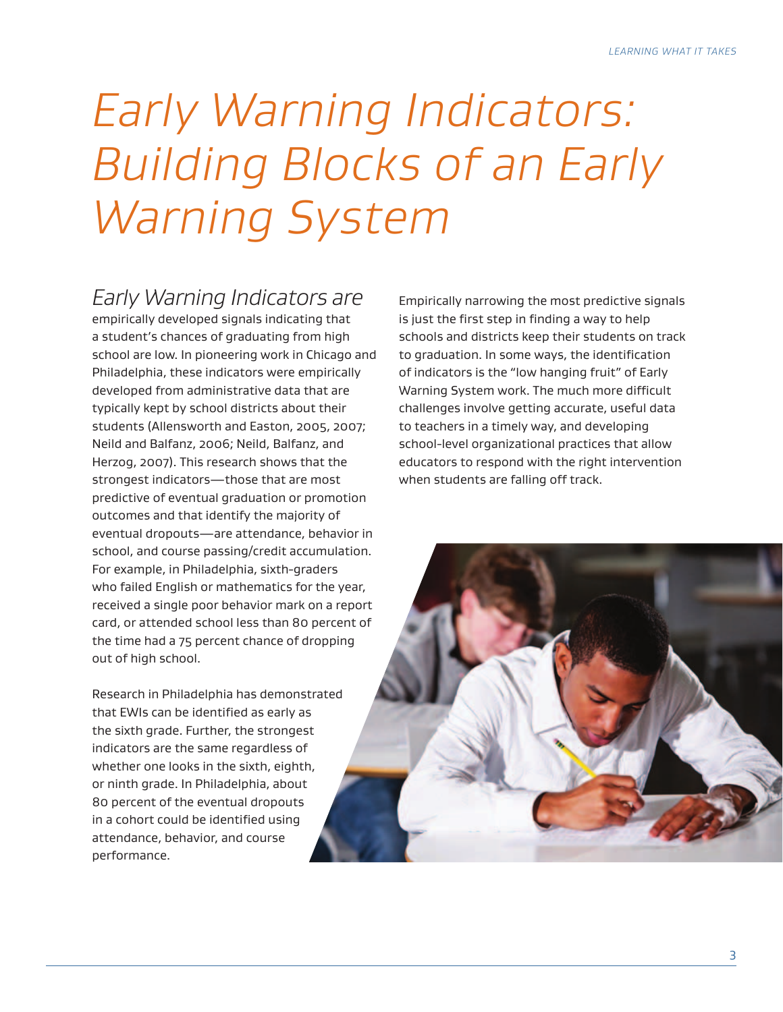# *Early Warning Indicators: Building Blocks of an Early Warning System*

# *Early Warning Indicators are*

empirically developed signals indicating that a student's chances of graduating from high school are low. In pioneering work in Chicago and Philadelphia, these indicators were empirically developed from administrative data that are typically kept by school districts about their students (Allensworth and Easton, 2005, 2007; Neild and Balfanz, 2006; Neild, Balfanz, and Herzog, 2007). This research shows that the strongest indicators—those that are most predictive of eventual graduation or promotion outcomes and that identify the majority of eventual dropouts—are attendance, behavior in school, and course passing/credit accumulation. For example, in Philadelphia, sixth-graders who failed English or mathematics for the year, received a single poor behavior mark on a report card, or attended school less than 80 percent of the time had a 75 percent chance of dropping out of high school.

Research in Philadelphia has demonstrated that EWIs can be identified as early as the sixth grade. Further, the strongest indicators are the same regardless of whether one looks in the sixth, eighth, or ninth grade. In Philadelphia, about 80 percent of the eventual dropouts in a cohort could be identified using attendance, behavior, and course performance.

Empirically narrowing the most predictive signals is just the first step in finding a way to help schools and districts keep their students on track to graduation. In some ways, the identification of indicators is the "low hanging fruit" of Early Warning System work. The much more difficult challenges involve getting accurate, useful data to teachers in a timely way, and developing school-level organizational practices that allow educators to respond with the right intervention when students are falling off track.

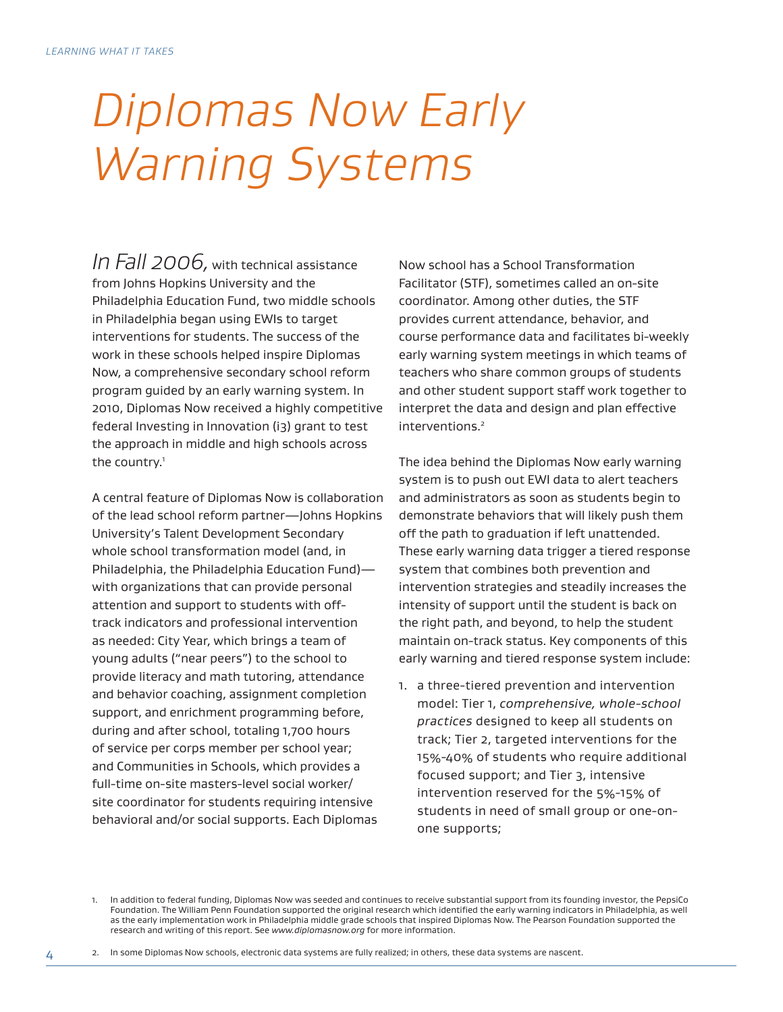# *Diplomas Now Early Warning Systems*

*In Fall 2006,* with technical assistance from Johns Hopkins University and the Philadelphia Education Fund, two middle schools in Philadelphia began using EWIs to target interventions for students. The success of the work in these schools helped inspire Diplomas Now, a comprehensive secondary school reform program guided by an early warning system. In 2010, Diplomas Now received a highly competitive federal Investing in Innovation (i3) grant to test the approach in middle and high schools across the country. 1

A central feature of Diplomas Now is collaboration of the lead school reform partner—Johns Hopkins University's Talent Development Secondary whole school transformation model (and, in Philadelphia, the Philadelphia Education Fund) with organizations that can provide personal attention and support to students with offtrack indicators and professional intervention as needed: City Year, which brings a team of young adults ("near peers") to the school to provide literacy and math tutoring, attendance and behavior coaching, assignment completion support, and enrichment programming before, during and after school, totaling 1,700 hours of service per corps member per school year; and Communities in Schools, which provides a full-time on-site masters-level social worker/ site coordinator for students requiring intensive behavioral and/or social supports. Each Diplomas

Now school has a School Transformation Facilitator (STF), sometimes called an on-site coordinator. Among other duties, the STF provides current attendance, behavior, and course performance data and facilitates bi-weekly early warning system meetings in which teams of teachers who share common groups of students and other student support staff work together to interpret the data and design and plan effective interventions. 2

The idea behind the Diplomas Now early warning system is to push out EWI data to alert teachers and administrators as soon as students begin to demonstrate behaviors that will likely push them off the path to graduation if left unattended. These early warning data trigger a tiered response system that combines both prevention and intervention strategies and steadily increases the intensity of support until the student is back on the right path, and beyond, to help the student maintain on-track status. Key components of this early warning and tiered response system include:

1. a three-tiered prevention and intervention model: Tier 1, *comprehensive, whole-school practices* designed to keep all students on track; Tier 2, targeted interventions for the 15%-40% of students who require additional focused support; and Tier 3, intensive intervention reserved for the 5%-15% of students in need of small group or one-onone supports;

1. In addition to federal funding, Diplomas Now was seeded and continues to receive substantial support from its founding investor, the PepsiCo Foundation. The William Penn Foundation supported the original research which identified the early warning indicators in Philadelphia, as well as the early implementation work in Philadelphia middle grade schools that inspired Diplomas Now. The Pearson Foundation supported the research and writing of this report. See *[www.diplomasnow.org](http://www.diplomasnow.org)* for more information.

2. In some Diplomas Now schools, electronic data systems are fully realized; in others, these data systems are nascent.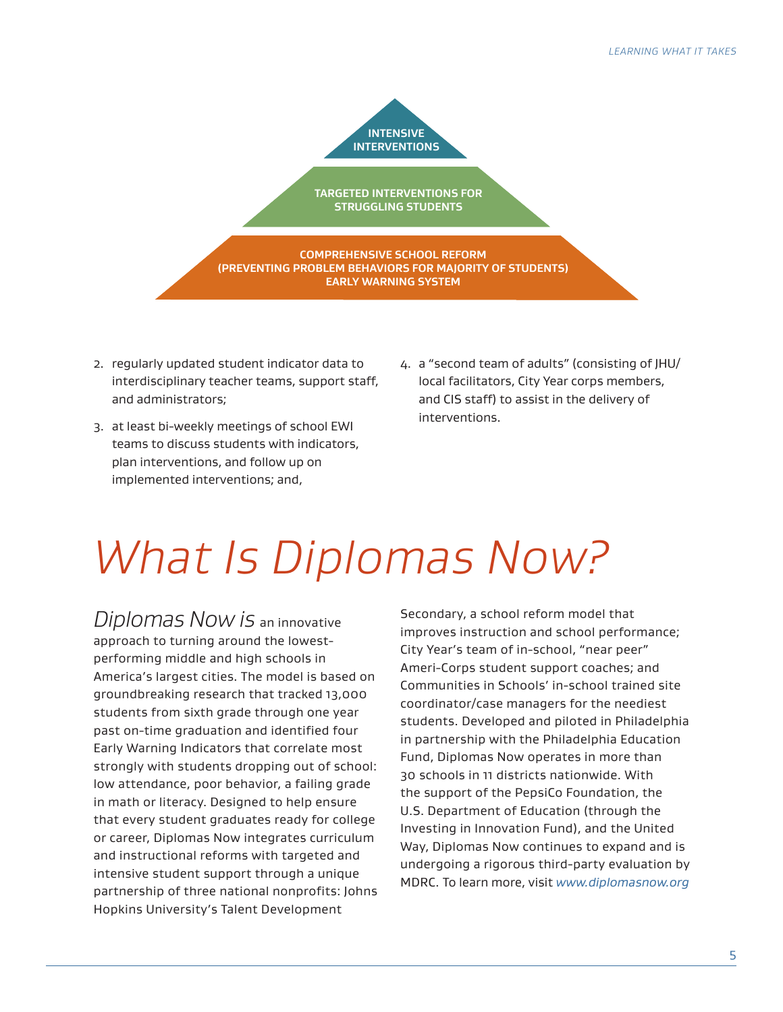<span id="page-8-0"></span>

- 2. regularly updated student indicator data to interdisciplinary teacher teams, support staff, and administrators;
- 3. at least bi-weekly meetings of school EWI teams to discuss students with indicators, plan interventions, and follow up on implemented interventions; and,
- 4. a "second team of adults" (consisting of JHU/ local facilitators, City Year corps members, and CIS staff) to assist in the delivery of interventions.

# *What Is Diplomas Now?*

*Diplomas Now is* an innovative approach to turning around the lowestperforming middle and high schools in America's largest cities. The model is based on groundbreaking research that tracked 13,000 students from sixth grade through one year past on-time graduation and identified four Early Warning Indicators that correlate most strongly with students dropping out of school: low attendance, poor behavior, a failing grade in math or literacy. Designed to help ensure that every student graduates ready for college or career, Diplomas Now integrates curriculum and instructional reforms with targeted and intensive student support through a unique partnership of three national nonprofits: Johns Hopkins University's Talent Development

Secondary, a school reform model that improves instruction and school performance; City Year's team of in-school, "near peer" Ameri-Corps student support coaches; and Communities in Schools' in-school trained site coordinator/case managers for the neediest students. Developed and piloted in Philadelphia in partnership with the Philadelphia Education Fund, Diplomas Now operates in more than 30 schools in 11 districts nationwide. With the support of the PepsiCo Foundation, the U.S. Department of Education (through the Investing in Innovation Fund), and the United Way, Diplomas Now continues to expand and is undergoing a rigorous third-party evaluation by MDRC. To learn more, visit *[www.diplomasnow.org](http://www.diplomasnow.org)*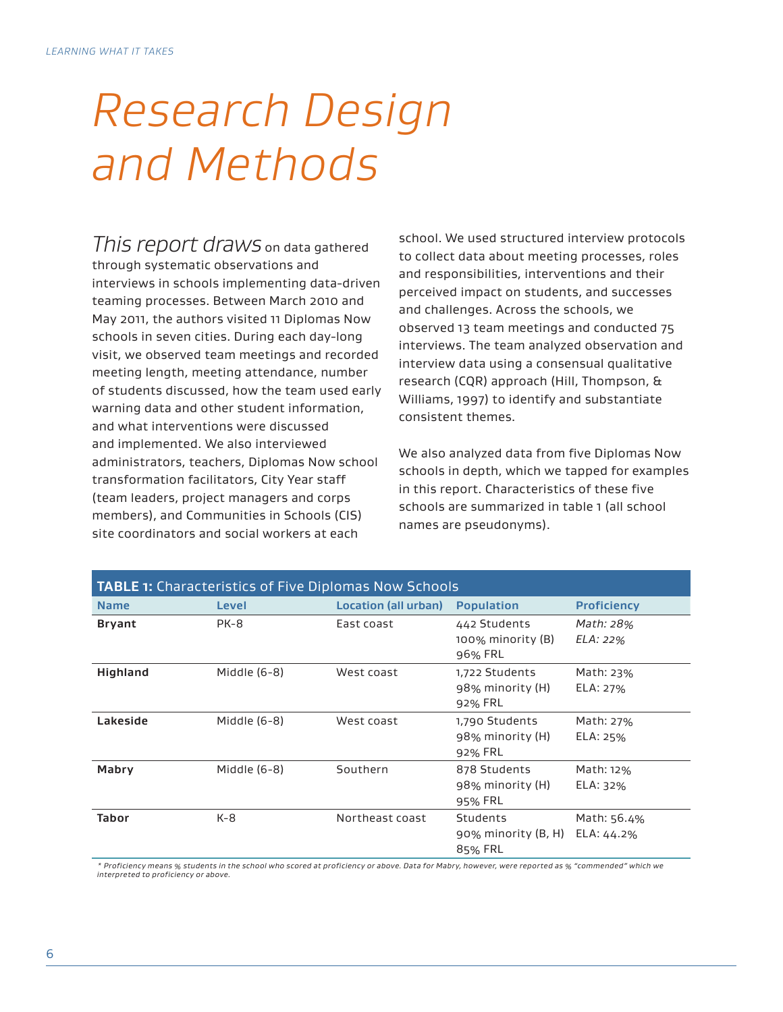# *Research Design and Methods*

*This report draws* on data gathered through systematic observations and interviews in schools implementing data-driven teaming processes. Between March 2010 and May 2011, the authors visited 11 Diplomas Now schools in seven cities. During each day-long visit, we observed team meetings and recorded meeting length, meeting attendance, number of students discussed, how the team used early warning data and other student information, and what interventions were discussed and implemented. We also interviewed administrators, teachers, Diplomas Now school transformation facilitators, City Year staff (team leaders, project managers and corps members), and Communities in Schools (CIS) site coordinators and social workers at each

school. We used structured interview protocols to collect data about meeting processes, roles and responsibilities, interventions and their perceived impact on students, and successes and challenges. Across the schools, we observed 13 team meetings and conducted 75 interviews. The team analyzed observation and interview data using a consensual qualitative research (CQR) approach (Hill, Thompson, & Williams, 1997) to identify and substantiate consistent themes.

We also analyzed data from five Diplomas Now schools in depth, which we tapped for examples in this report. Characteristics of these five schools are summarized in table 1 (all school names are pseudonyms).

| <b>TABLE 1:</b> Characteristics of Five Diplomas Now Schools |              |                      |                                               |                           |  |  |
|--------------------------------------------------------------|--------------|----------------------|-----------------------------------------------|---------------------------|--|--|
| <b>Name</b>                                                  | <b>Level</b> | Location (all urban) | <b>Population</b>                             | <b>Proficiency</b>        |  |  |
| <b>Bryant</b>                                                | <b>PK-8</b>  | East coast           | 442 Students<br>100% minority (B)<br>96% FRL  | Math: 28%<br>ELA: 22%     |  |  |
| <b>Highland</b>                                              | Middle (6-8) | West coast           | 1,722 Students<br>98% minority (H)<br>92% FRL | Math: 23%<br>ELA: 27%     |  |  |
| Lakeside                                                     | Middle (6-8) | West coast           | 1,790 Students<br>98% minority (H)<br>92% FRL | Math: 27%<br>ELA: 25%     |  |  |
| Mabry                                                        | Middle (6-8) | Southern             | 878 Students<br>98% minority (H)<br>95% FRL   | Math: 12%<br>ELA: 32%     |  |  |
| Tabor                                                        | $K-8$        | Northeast coast      | Students<br>90% minority (B, H)<br>85% FRL    | Math: 56.4%<br>ELA: 44.2% |  |  |

*\* Proficiency means % students in the school who scored at proficiency or above. Data for Mabry, however, were reported as % "commended" which we interpreted to proficiency or above.*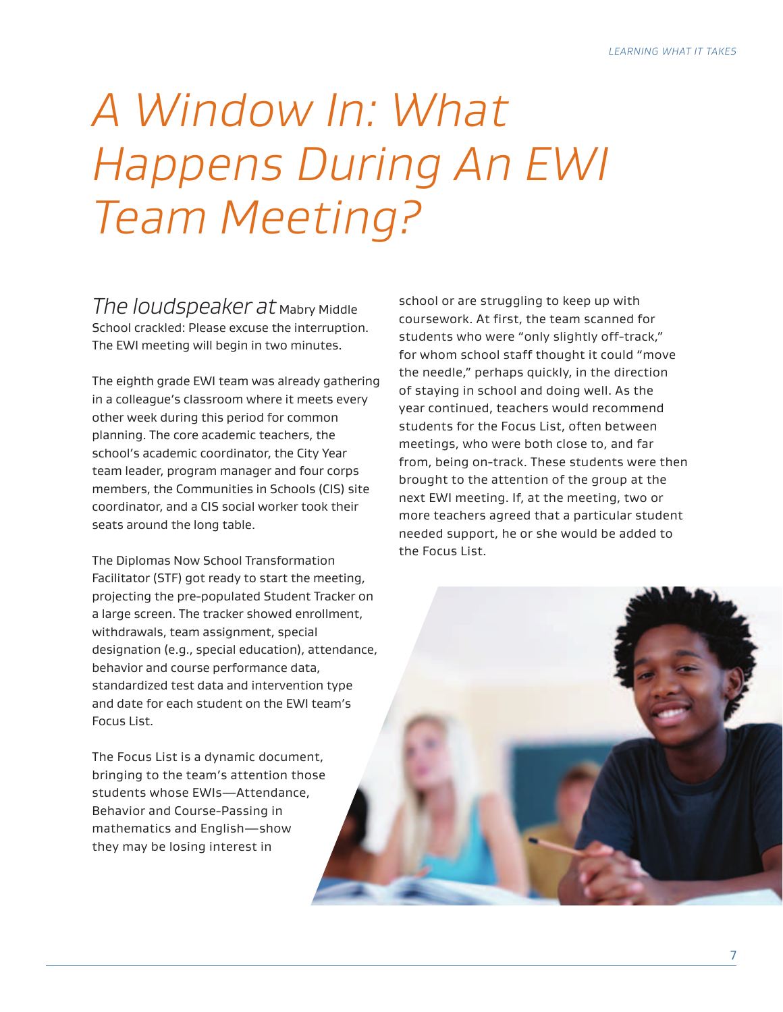# *A Window In: What Happens During An EWI Team Meeting?*

*The loudspeaker at* Mabry Middle School crackled: Please excuse the interruption. The EWI meeting will begin in two minutes.

The eighth grade EWI team was already gathering in a colleague's classroom where it meets every other week during this period for common planning. The core academic teachers, the school's academic coordinator, the City Year team leader, program manager and four corps members, the Communities in Schools (CIS) site coordinator, and a CIS social worker took their seats around the long table.

The Diplomas Now School Transformation Facilitator (STF) got ready to start the meeting, projecting the pre-populated Student Tracker on a large screen. The tracker showed enrollment, withdrawals, team assignment, special designation (e.g., special education), attendance, behavior and course performance data, standardized test data and intervention type and date for each student on the EWI team's Focus List.

The Focus List is a dynamic document, bringing to the team's attention those students whose EWIs—Attendance, Behavior and Course-Passing in mathematics and English—show they may be losing interest in

school or are struggling to keep up with coursework. At first, the team scanned for students who were "only slightly off-track," for whom school staff thought it could "move the needle," perhaps quickly, in the direction of staying in school and doing well. As the year continued, teachers would recommend students for the Focus List, often between meetings, who were both close to, and far from, being on-track. These students were then brought to the attention of the group at the next EWI meeting. If, at the meeting, two or more teachers agreed that a particular student needed support, he or she would be added to the Focus List.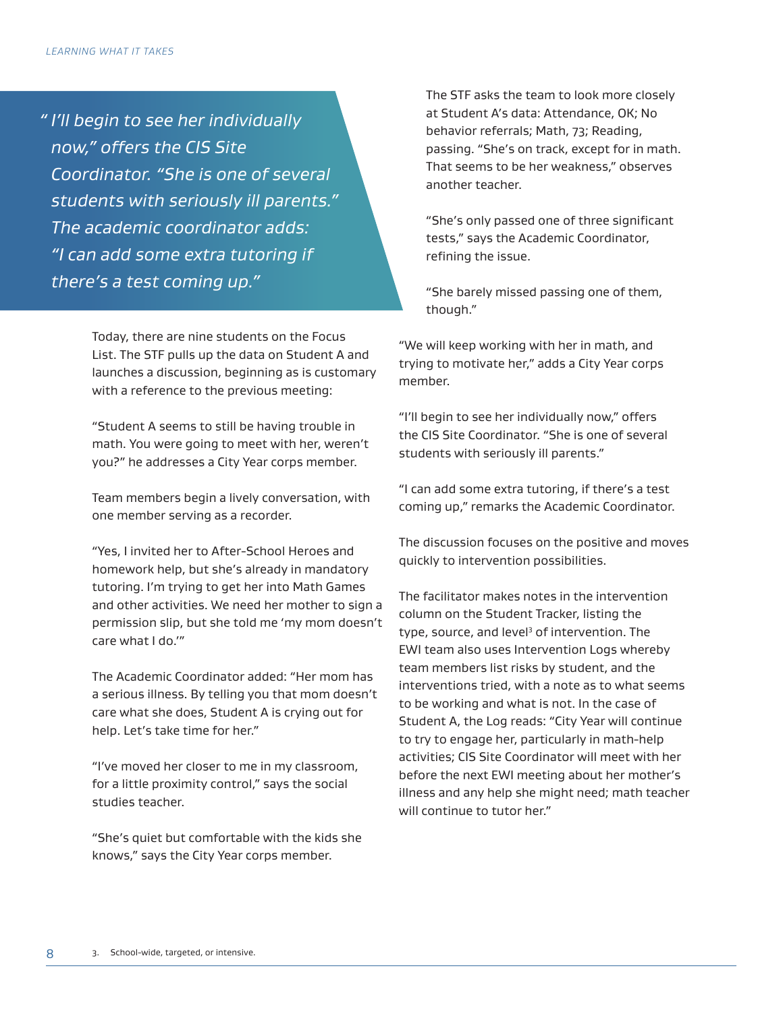*" I'll begin to see her individually now," offers the CIS Site Coordinator. "She is one of several students with seriously ill parents." The academic coordinator adds: "I can add some extra tutoring if there's a test coming up."*

> Today, there are nine students on the Focus List. The STF pulls up the data on Student A and launches a discussion, beginning as is customary with a reference to the previous meeting:

"Student A seems to still be having trouble in math. You were going to meet with her, weren't you?" he addresses a City Year corps member.

Team members begin a lively conversation, with one member serving as a recorder.

"Yes, I invited her to After-School Heroes and homework help, but she's already in mandatory tutoring. I'm trying to get her into Math Games and other activities. We need her mother to sign a permission slip, but she told me 'my mom doesn't care what I do.'"

The Academic Coordinator added: "Her mom has a serious illness. By telling you that mom doesn't care what she does, Student A is crying out for help. Let's take time for her."

"I've moved her closer to me in my classroom, for a little proximity control," says the social studies teacher.

"She's quiet but comfortable with the kids she knows," says the City Year corps member.

The STF asks the team to look more closely at Student A's data: Attendance, OK; No behavior referrals; Math, 73; Reading, passing. "She's on track, except for in math. That seems to be her weakness," observes another teacher.

"She's only passed one of three significant tests," says the Academic Coordinator, refining the issue.

"She barely missed passing one of them, though."

"We will keep working with her in math, and trying to motivate her," adds a City Year corps member.

"I'll begin to see her individually now," offers the CIS Site Coordinator. "She is one of several students with seriously ill parents."

"I can add some extra tutoring, if there's a test coming up," remarks the Academic Coordinator.

The discussion focuses on the positive and moves quickly to intervention possibilities.

The facilitator makes notes in the intervention column on the Student Tracker, listing the type, source, and level<sup>3</sup> of intervention. The EWI team also uses Intervention Logs whereby team members list risks by student, and the interventions tried, with a note as to what seems to be working and what is not. In the case of Student A, the Log reads: "City Year will continue to try to engage her, particularly in math-help activities; CIS Site Coordinator will meet with her before the next EWI meeting about her mother's illness and any help she might need; math teacher will continue to tutor her."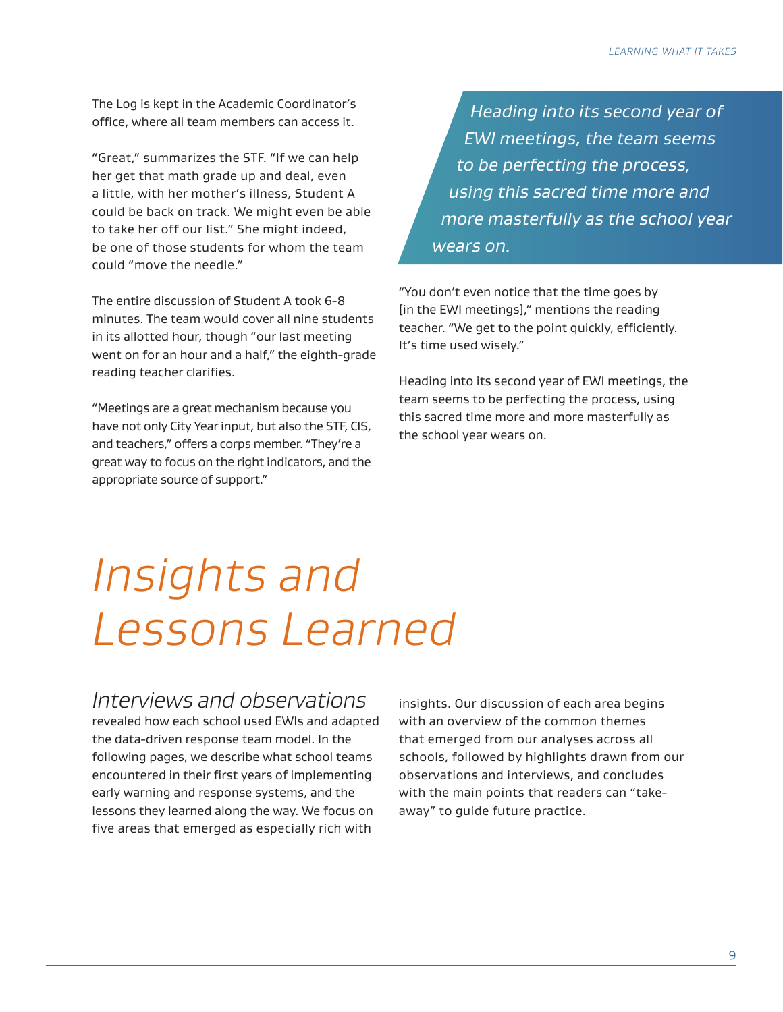The Log is kept in the Academic Coordinator's office, where all team members can access it.

"Great," summarizes the STF. "If we can help her get that math grade up and deal, even a little, with her mother's illness, Student A could be back on track. We might even be able to take her off our list." She might indeed, be one of those students for whom the team could "move the needle."

The entire discussion of Student A took 6-8 minutes. The team would cover all nine students in its allotted hour, though "our last meeting went on for an hour and a half," the eighth-grade reading teacher clarifies.

"Meetings are a great mechanism because you have not only City Year input, but also the STF, CIS, and teachers," offers a corps member. "They're a great way to focus on the right indicators, and the appropriate source of support."

*Heading into its second year of EWI meetings, the team seems to be perfecting the process, using this sacred time more and more masterfully as the school year wears on.*

"You don't even notice that the time goes by [in the EWI meetings]," mentions the reading teacher. "We get to the point quickly, efficiently. It's time used wisely."

Heading into its second year of EWI meetings, the team seems to be perfecting the process, using this sacred time more and more masterfully as the school year wears on.

# *Insights and Lessons Learned*

## *Interviews and observations*

revealed how each school used EWIs and adapted the data-driven response team model. In the following pages, we describe what school teams encountered in their first years of implementing early warning and response systems, and the lessons they learned along the way. We focus on five areas that emerged as especially rich with

insights. Our discussion of each area begins with an overview of the common themes that emerged from our analyses across all schools, followed by highlights drawn from our observations and interviews, and concludes with the main points that readers can "takeaway" to guide future practice.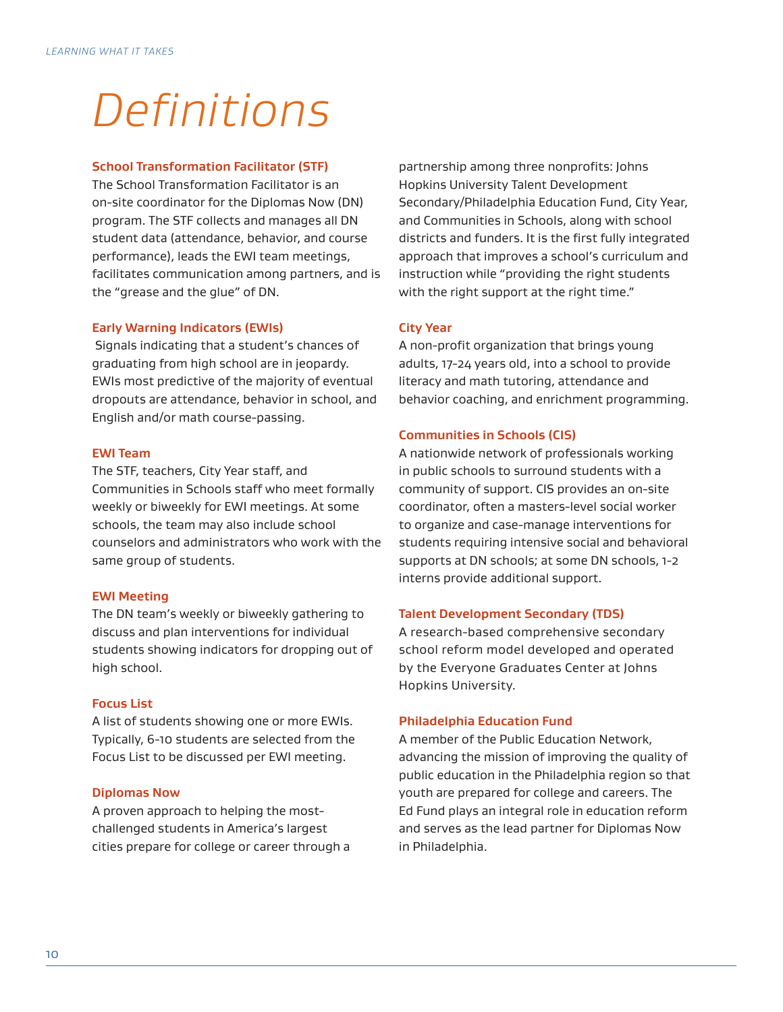# *Definitions*

#### **School Transformation Facilitator (STF)**

The School Transformation Facilitator is an on-site coordinator for the Diplomas Now (DN) program. The STF collects and manages all DN student data (attendance, behavior, and course performance), leads the EWI team meetings, facilitates communication among partners, and is the "grease and the glue" of DN.

#### **Early Warning Indicators (EWIs)**

 Signals indicating that a student's chances of graduating from high school are in jeopardy. EWIs most predictive of the majority of eventual dropouts are attendance, behavior in school, and English and/or math course-passing.

#### **EWI Team**

The STF, teachers, City Year staff, and Communities in Schools staff who meet formally weekly or biweekly for EWI meetings. At some schools, the team may also include school counselors and administrators who work with the same group of students.

#### **EWI Meeting**

The DN team's weekly or biweekly gathering to discuss and plan interventions for individual students showing indicators for dropping out of high school.

#### **Focus List**

A list of students showing one or more EWIs. Typically, 6-10 students are selected from the Focus List to be discussed per EWI meeting.

#### **Diplomas Now**

A proven approach to helping the mostchallenged students in America's largest cities prepare for college or career through a partnership among three nonprofits: Johns Hopkins University Talent Development Secondary/Philadelphia Education Fund, City Year, and Communities in Schools, along with school districts and funders. It is the first fully integrated approach that improves a school's curriculum and instruction while "providing the right students with the right support at the right time."

#### **City Year**

A non-profit organization that brings young adults, 17-24 years old, into a school to provide literacy and math tutoring, attendance and behavior coaching, and enrichment programming.

#### **Communities in Schools (CIS)**

A nationwide network of professionals working in public schools to surround students with a community of support. CIS provides an on-site coordinator, often a masters-level social worker to organize and case-manage interventions for students requiring intensive social and behavioral supports at DN schools; at some DN schools, 1-2 interns provide additional support.

#### **Talent Development Secondary (TDS)**

A research-based comprehensive secondary school reform model developed and operated by the Everyone Graduates Center at Johns Hopkins University.

#### **Philadelphia Education Fund**

A member of the Public Education Network, advancing the mission of improving the quality of public education in the Philadelphia region so that youth are prepared for college and careers. The Ed Fund plays an integral role in education reform and serves as the lead partner for Diplomas Now in Philadelphia.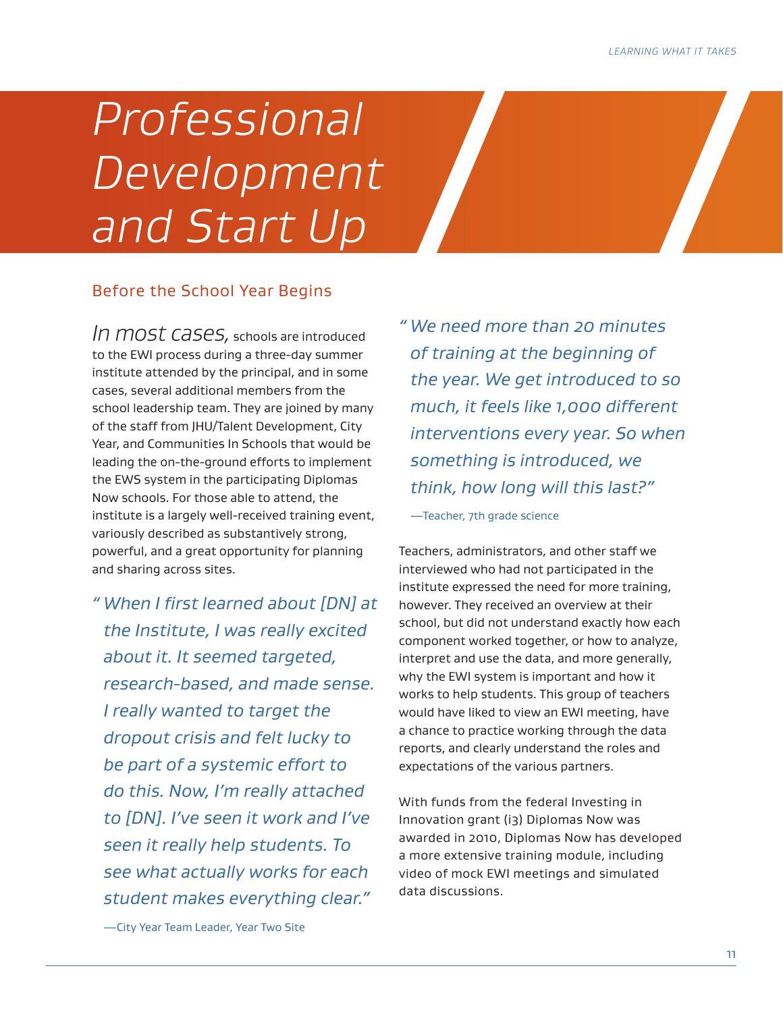# <span id="page-14-0"></span>*Professional Development and Start Up*

### Before the School Year Begins

*In most cases,* schools are introduced to the EWI process during a three-day summer institute attended by the principal, and in some cases, several additional members from the school leadership team. They are joined by many of the staff from JHU/Talent Development, City Year, and Communities In Schools that would be leading the on-the-ground efforts to implement the EWS system in the participating Diplomas Now schools. For those able to attend, the institute is a largely well-received training event, variously described as substantively strong, powerful, and a great opportunity for planning and sharing across sites.

*" When I first learned about [DN] at the Institute, I was really excited about it. It seemed targeted, research-based, and made sense. I really wanted to target the dropout crisis and felt lucky to be part of a systemic effort to do this. Now, I'm really attached to [DN]. I've seen it work and I've seen it really help students. To see what actually works for each student makes everything clear."* 

*" We need more than 20 minutes of training at the beginning of the year. We get introduced to so much, it feels like 1,000 different interventions every year. So when something is introduced, we think, how long will this last?"*

—Teacher, 7th grade science

Teachers, administrators, and other staff we interviewed who had not participated in the institute expressed the need for more training, however. They received an overview at their school, but did not understand exactly how each component worked together, or how to analyze, interpret and use the data, and more generally, why the EWI system is important and how it works to help students. This group of teachers would have liked to view an EWI meeting, have a chance to practice working through the data reports, and clearly understand the roles and expectations of the various partners.

With funds from the federal Investing in Innovation grant (i3) Diplomas Now was awarded in 2010, Diplomas Now has developed a more extensive training module, including video of mock EWI meetings and simulated data discussions.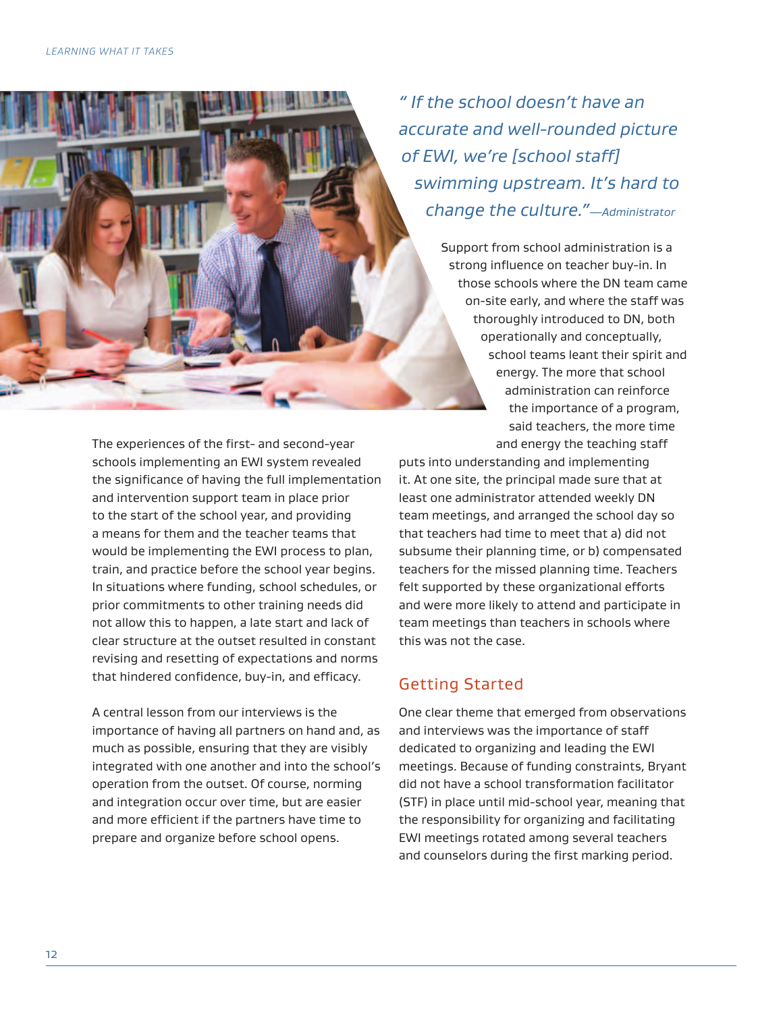

*" If the school doesn't have an accurate and well-rounded picture of EWI, we're [school staff] swimming upstream. It's hard to change the culture."—Administrator*

> Support from school administration is a strong influence on teacher buy-in. In those schools where the DN team came on-site early, and where the staff was thoroughly introduced to DN, both operationally and conceptually, school teams leant their spirit and energy. The more that school administration can reinforce the importance of a program, said teachers, the more time and energy the teaching staff

The experiences of the first- and second-year schools implementing an EWI system revealed the significance of having the full implementation and intervention support team in place prior to the start of the school year, and providing a means for them and the teacher teams that would be implementing the EWI process to plan, train, and practice before the school year begins. In situations where funding, school schedules, or prior commitments to other training needs did not allow this to happen, a late start and lack of clear structure at the outset resulted in constant revising and resetting of expectations and norms that hindered confidence, buy-in, and efficacy.

A central lesson from our interviews is the importance of having all partners on hand and, as much as possible, ensuring that they are visibly integrated with one another and into the school's operation from the outset. Of course, norming and integration occur over time, but are easier and more efficient if the partners have time to prepare and organize before school opens.

puts into understanding and implementing it. At one site, the principal made sure that at least one administrator attended weekly DN team meetings, and arranged the school day so that teachers had time to meet that a) did not subsume their planning time, or b) compensated teachers for the missed planning time. Teachers felt supported by these organizational efforts and were more likely to attend and participate in team meetings than teachers in schools where this was not the case.

### Getting Started

One clear theme that emerged from observations and interviews was the importance of staff dedicated to organizing and leading the EWI meetings. Because of funding constraints, Bryant did not have a school transformation facilitator (STF) in place until mid-school year, meaning that the responsibility for organizing and facilitating EWI meetings rotated among several teachers and counselors during the first marking period.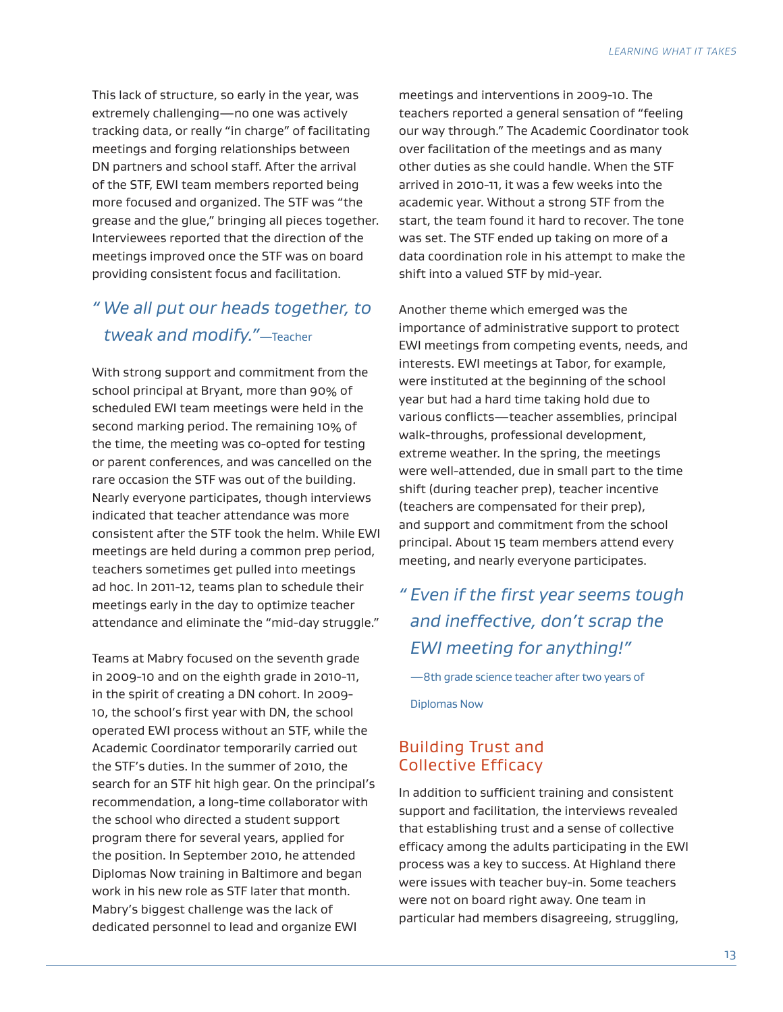This lack of structure, so early in the year, was extremely challenging—no one was actively tracking data, or really "in charge" of facilitating meetings and forging relationships between DN partners and school staff. After the arrival of the STF, EWI team members reported being more focused and organized. The STF was "the grease and the glue," bringing all pieces together. Interviewees reported that the direction of the meetings improved once the STF was on board providing consistent focus and facilitation.

## *" We all put our heads together, to tweak and modify."*—Teacher

With strong support and commitment from the school principal at Bryant, more than 90% of scheduled EWI team meetings were held in the second marking period. The remaining 10% of the time, the meeting was co-opted for testing or parent conferences, and was cancelled on the rare occasion the STF was out of the building. Nearly everyone participates, though interviews indicated that teacher attendance was more consistent after the STF took the helm. While EWI meetings are held during a common prep period, teachers sometimes get pulled into meetings ad hoc. In 2011-12, teams plan to schedule their meetings early in the day to optimize teacher attendance and eliminate the "mid-day struggle."

Teams at Mabry focused on the seventh grade in 2009-10 and on the eighth grade in 2010-11, in the spirit of creating a DN cohort. In 2009- 10, the school's first year with DN, the school operated EWI process without an STF, while the Academic Coordinator temporarily carried out the STF's duties. In the summer of 2010, the search for an STF hit high gear. On the principal's recommendation, a long-time collaborator with the school who directed a student support program there for several years, applied for the position. In September 2010, he attended Diplomas Now training in Baltimore and began work in his new role as STF later that month. Mabry's biggest challenge was the lack of dedicated personnel to lead and organize EWI

meetings and interventions in 2009-10. The teachers reported a general sensation of "feeling our way through." The Academic Coordinator took over facilitation of the meetings and as many other duties as she could handle. When the STF arrived in 2010-11, it was a few weeks into the academic year. Without a strong STF from the start, the team found it hard to recover. The tone was set. The STF ended up taking on more of a data coordination role in his attempt to make the shift into a valued STF by mid-year.

Another theme which emerged was the importance of administrative support to protect EWI meetings from competing events, needs, and interests. EWI meetings at Tabor, for example, were instituted at the beginning of the school year but had a hard time taking hold due to various conflicts—teacher assemblies, principal walk-throughs, professional development, extreme weather. In the spring, the meetings were well-attended, due in small part to the time shift (during teacher prep), teacher incentive (teachers are compensated for their prep), and support and commitment from the school principal. About 15 team members attend every meeting, and nearly everyone participates.

# *" Even if the first year seems tough and ineffective, don't scrap the EWI meeting for anything!"* —8th grade science teacher after two years of

Diplomas Now

### Building Trust and Collective Efficacy

In addition to sufficient training and consistent support and facilitation, the interviews revealed that establishing trust and a sense of collective efficacy among the adults participating in the EWI process was a key to success. At Highland there were issues with teacher buy-in. Some teachers were not on board right away. One team in particular had members disagreeing, struggling,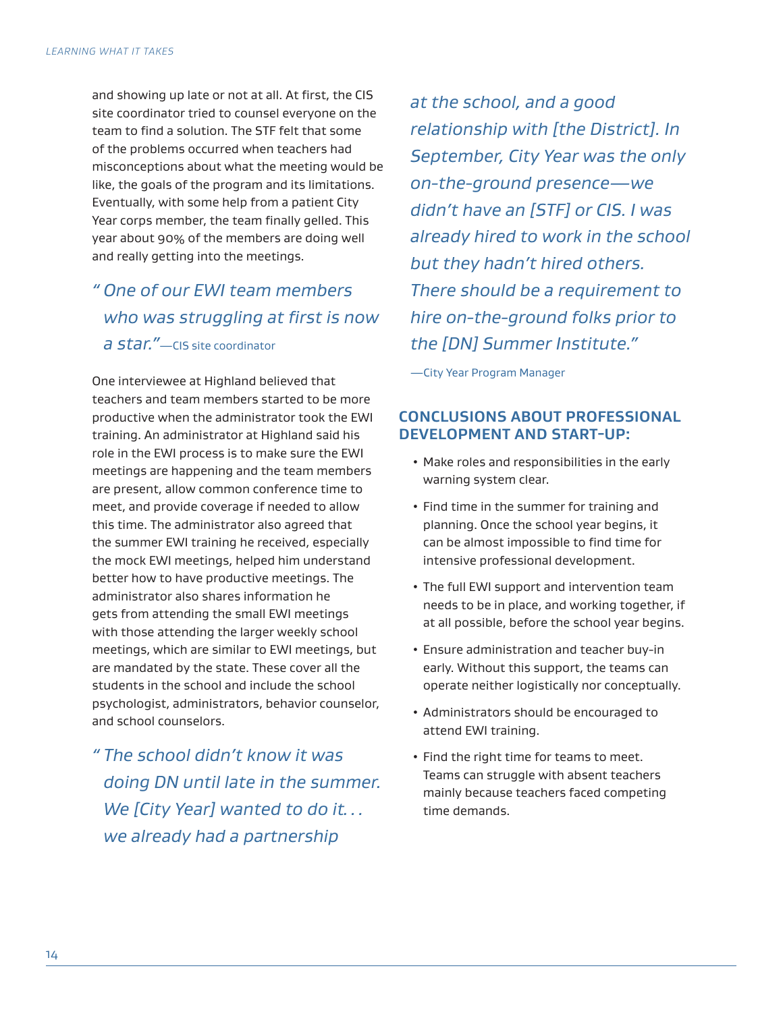and showing up late or not at all. At first, the CIS site coordinator tried to counsel everyone on the team to find a solution. The STF felt that some of the problems occurred when teachers had misconceptions about what the meeting would be like, the goals of the program and its limitations. Eventually, with some help from a patient City Year corps member, the team finally gelled. This year about 90% of the members are doing well and really getting into the meetings.

## *" One of our EWI team members who was struggling at first is now a star."*—CIS site coordinator

One interviewee at Highland believed that teachers and team members started to be more productive when the administrator took the EWI training. An administrator at Highland said his role in the EWI process is to make sure the EWI meetings are happening and the team members are present, allow common conference time to meet, and provide coverage if needed to allow this time. The administrator also agreed that the summer EWI training he received, especially the mock EWI meetings, helped him understand better how to have productive meetings. The administrator also shares information he gets from attending the small EWI meetings with those attending the larger weekly school meetings, which are similar to EWI meetings, but are mandated by the state. These cover all the students in the school and include the school psychologist, administrators, behavior counselor, and school counselors.

*" The school didn't know it was doing DN until late in the summer. We [City Year] wanted to do it… we already had a partnership* 

*at the school, and a good relationship with [the District]. In September, City Year was the only on-the-ground presence—we didn't have an [STF] or CIS. I was already hired to work in the school but they hadn't hired others. There should be a requirement to hire on-the-ground folks prior to the [DN] Summer Institute."* 

—City Year Program Manager

#### **Conclusions about Professional Development and Start-Up:**

- Make roles and responsibilities in the early warning system clear.
- Find time in the summer for training and planning. Once the school year begins, it can be almost impossible to find time for intensive professional development.
- The full EWI support and intervention team needs to be in place, and working together, if at all possible, before the school year begins.
- Ensure administration and teacher buy-in early. Without this support, the teams can operate neither logistically nor conceptually.
- • Administrators should be encouraged to attend EWI training.
- Find the right time for teams to meet. Teams can struggle with absent teachers mainly because teachers faced competing time demands.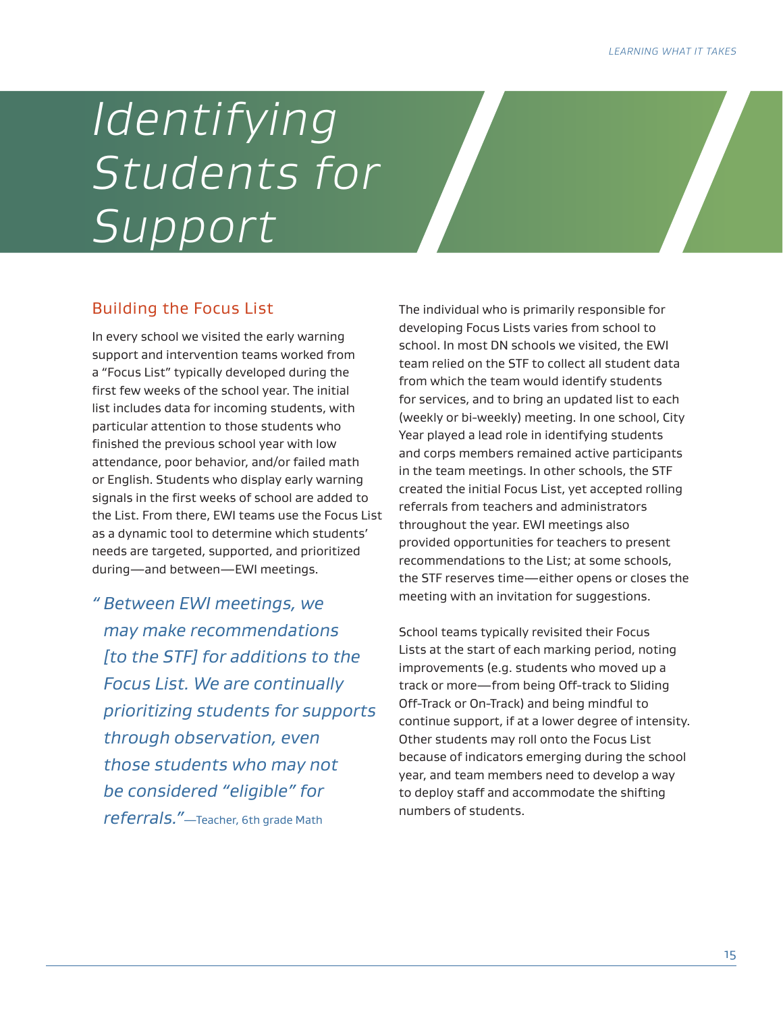# <span id="page-18-0"></span>*Identifying Students for Support*

### Building the Focus List

In every school we visited the early warning support and intervention teams worked from a "Focus List" typically developed during the first few weeks of the school year. The initial list includes data for incoming students, with particular attention to those students who finished the previous school year with low attendance, poor behavior, and/or failed math or English. Students who display early warning signals in the first weeks of school are added to the List. From there, EWI teams use the Focus List as a dynamic tool to determine which students' needs are targeted, supported, and prioritized during—and between—EWI meetings.

*" Between EWI meetings, we may make recommendations [to the STF] for additions to the Focus List. We are continually prioritizing students for supports through observation, even those students who may not be considered "eligible" for referrals."*—Teacher, 6th grade Math

The individual who is primarily responsible for developing Focus Lists varies from school to school. In most DN schools we visited, the EWI team relied on the STF to collect all student data from which the team would identify students for services, and to bring an updated list to each (weekly or bi-weekly) meeting. In one school, City Year played a lead role in identifying students and corps members remained active participants in the team meetings. In other schools, the STF created the initial Focus List, yet accepted rolling referrals from teachers and administrators throughout the year. EWI meetings also provided opportunities for teachers to present recommendations to the List; at some schools, the STF reserves time—either opens or closes the meeting with an invitation for suggestions.

School teams typically revisited their Focus Lists at the start of each marking period, noting improvements (e.g. students who moved up a track or more—from being Off-track to Sliding Off-Track or On-Track) and being mindful to continue support, if at a lower degree of intensity. Other students may roll onto the Focus List because of indicators emerging during the school year, and team members need to develop a way to deploy staff and accommodate the shifting numbers of students.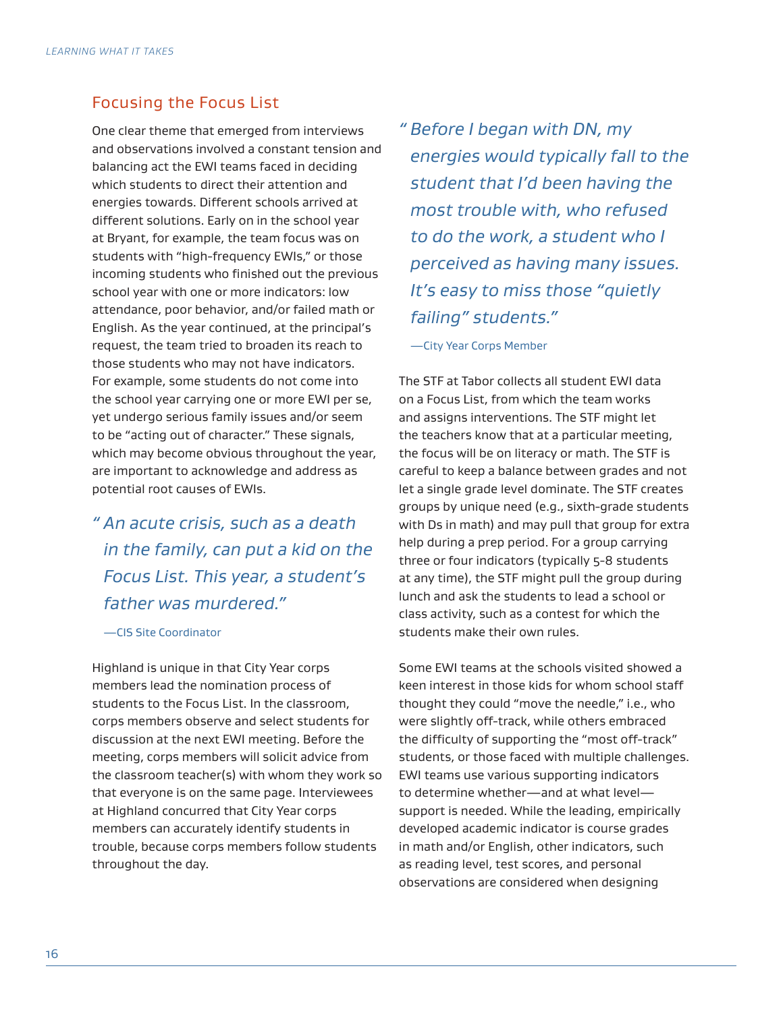#### Focusing the Focus List

One clear theme that emerged from interviews and observations involved a constant tension and balancing act the EWI teams faced in deciding which students to direct their attention and energies towards. Different schools arrived at different solutions. Early on in the school year at Bryant, for example, the team focus was on students with "high-frequency EWIs," or those incoming students who finished out the previous school year with one or more indicators: low attendance, poor behavior, and/or failed math or English. As the year continued, at the principal's request, the team tried to broaden its reach to those students who may not have indicators. For example, some students do not come into the school year carrying one or more EWI per se, yet undergo serious family issues and/or seem to be "acting out of character." These signals, which may become obvious throughout the year, are important to acknowledge and address as potential root causes of EWIs.

*" An acute crisis, such as a death in the family, can put a kid on the Focus List. This year, a student's father was murdered."* 

—CIS Site Coordinator

Highland is unique in that City Year corps members lead the nomination process of students to the Focus List. In the classroom, corps members observe and select students for discussion at the next EWI meeting. Before the meeting, corps members will solicit advice from the classroom teacher(s) with whom they work so that everyone is on the same page. Interviewees at Highland concurred that City Year corps members can accurately identify students in trouble, because corps members follow students throughout the day.

*" Before I began with DN, my energies would typically fall to the student that I'd been having the most trouble with, who refused to do the work, a student who I perceived as having many issues. It's easy to miss those "quietly failing" students."* 

—City Year Corps Member

The STF at Tabor collects all student EWI data on a Focus List, from which the team works and assigns interventions. The STF might let the teachers know that at a particular meeting, the focus will be on literacy or math. The STF is careful to keep a balance between grades and not let a single grade level dominate. The STF creates groups by unique need (e.g., sixth-grade students with Ds in math) and may pull that group for extra help during a prep period. For a group carrying three or four indicators (typically 5-8 students at any time), the STF might pull the group during lunch and ask the students to lead a school or class activity, such as a contest for which the students make their own rules.

Some EWI teams at the schools visited showed a keen interest in those kids for whom school staff thought they could "move the needle," i.e., who were slightly off-track, while others embraced the difficulty of supporting the "most off-track" students, or those faced with multiple challenges. EWI teams use various supporting indicators to determine whether—and at what level support is needed. While the leading, empirically developed academic indicator is course grades in math and/or English, other indicators, such as reading level, test scores, and personal observations are considered when designing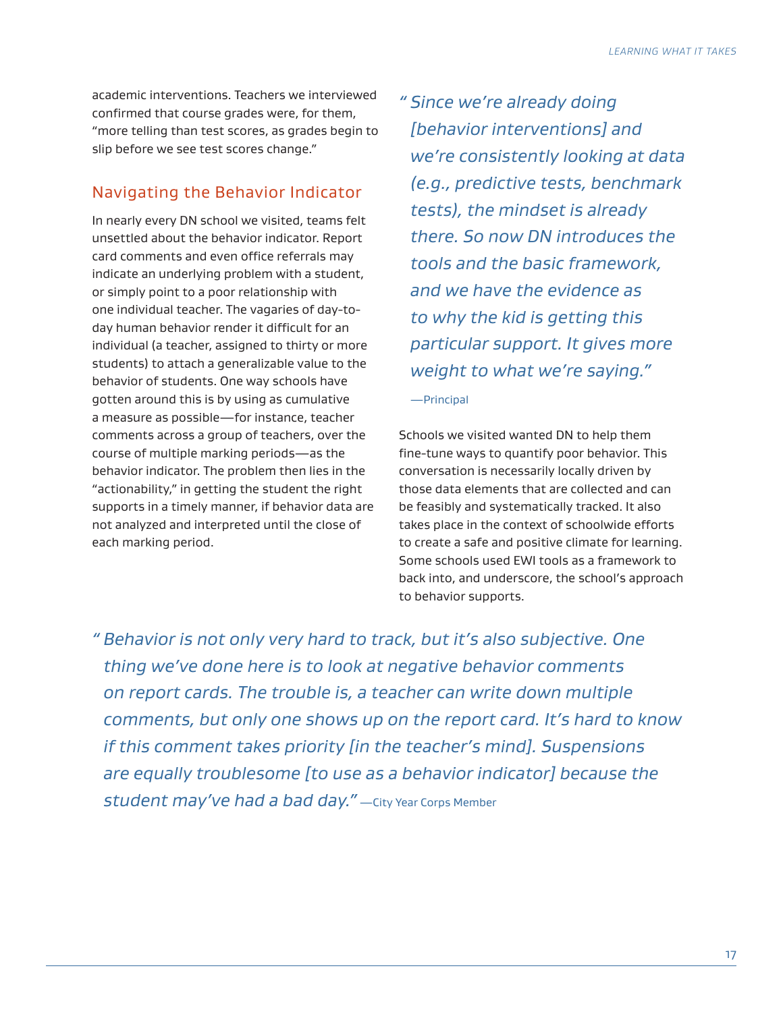academic interventions. Teachers we interviewed confirmed that course grades were, for them, "more telling than test scores, as grades begin to slip before we see test scores change."

### Navigating the Behavior Indicator

In nearly every DN school we visited, teams felt unsettled about the behavior indicator. Report card comments and even office referrals may indicate an underlying problem with a student, or simply point to a poor relationship with one individual teacher. The vagaries of day-today human behavior render it difficult for an individual (a teacher, assigned to thirty or more students) to attach a generalizable value to the behavior of students. One way schools have gotten around this is by using as cumulative a measure as possible—for instance, teacher comments across a group of teachers, over the course of multiple marking periods—as the behavior indicator. The problem then lies in the "actionability," in getting the student the right supports in a timely manner, if behavior data are not analyzed and interpreted until the close of each marking period.

*" Since we're already doing [behavior interventions] and we're consistently looking at data (e.g., predictive tests, benchmark tests), the mindset is already there. So now DN introduces the tools and the basic framework, and we have the evidence as to why the kid is getting this particular support. It gives more weight to what we're saying."*  —Principal

Schools we visited wanted DN to help them fine-tune ways to quantify poor behavior. This conversation is necessarily locally driven by those data elements that are collected and can be feasibly and systematically tracked. It also takes place in the context of schoolwide efforts to create a safe and positive climate for learning. Some schools used EWI tools as a framework to back into, and underscore, the school's approach to behavior supports.

*" Behavior is not only very hard to track, but it's also subjective. One thing we've done here is to look at negative behavior comments on report cards. The trouble is, a teacher can write down multiple comments, but only one shows up on the report card. It's hard to know if this comment takes priority [in the teacher's mind]. Suspensions are equally troublesome [to use as a behavior indicator] because the student may've had a bad day."*—City Year Corps Member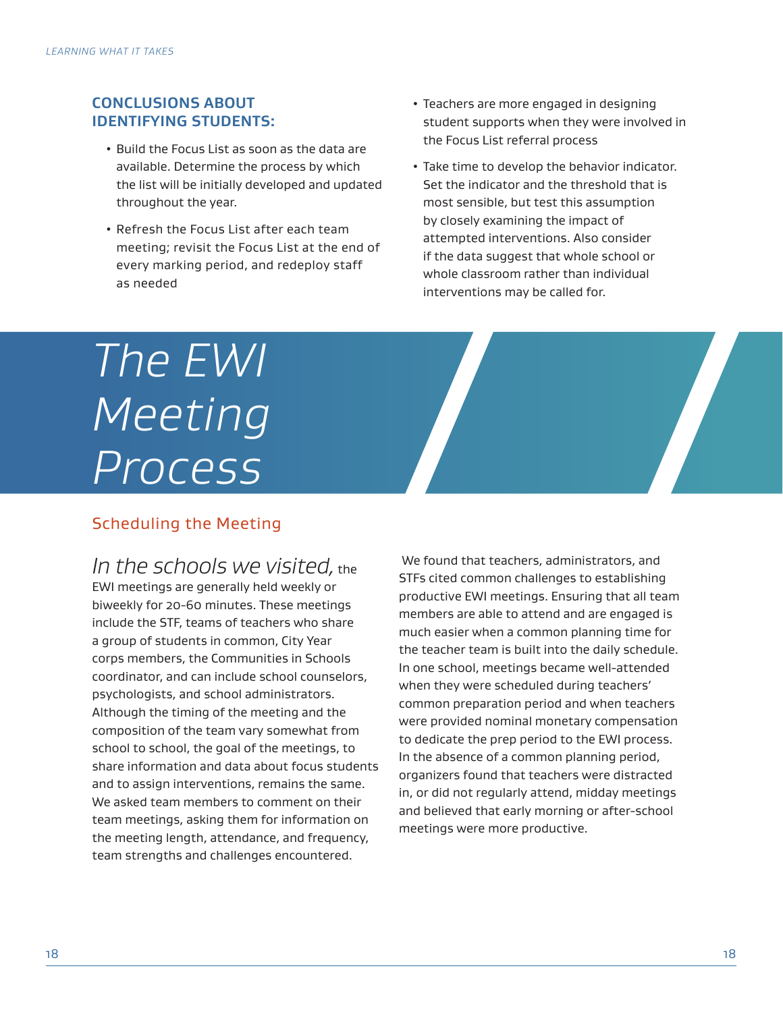### <span id="page-21-0"></span>**Conclusions about Identifying Students:**

- Build the Focus List as soon as the data are available. Determine the process by which the list will be initially developed and updated throughout the year.
- Refresh the Focus List after each team meeting; revisit the Focus List at the end of every marking period, and redeploy staff as needed
- Teachers are more engaged in designing student supports when they were involved in the Focus List referral process
- Take time to develop the behavior indicator. Set the indicator and the threshold that is most sensible, but test this assumption by closely examining the impact of attempted interventions. Also consider if the data suggest that whole school or whole classroom rather than individual interventions may be called for.

# *The EWI* **Meeting** *Process*

### Scheduling the Meeting

*In the schools we visited,* the EWI meetings are generally held weekly or biweekly for 20-60 minutes. These meetings include the STF, teams of teachers who share a group of students in common, City Year corps members, the Communities in Schools coordinator, and can include school counselors, psychologists, and school administrators. Although the timing of the meeting and the composition of the team vary somewhat from school to school, the goal of the meetings, to share information and data about focus students and to assign interventions, remains the same. We asked team members to comment on their team meetings, asking them for information on the meeting length, attendance, and frequency, team strengths and challenges encountered.

 We found that teachers, administrators, and STFs cited common challenges to establishing productive EWI meetings. Ensuring that all team members are able to attend and are engaged is much easier when a common planning time for the teacher team is built into the daily schedule. In one school, meetings became well-attended when they were scheduled during teachers' common preparation period and when teachers were provided nominal monetary compensation to dedicate the prep period to the EWI process. In the absence of a common planning period, organizers found that teachers were distracted in, or did not regularly attend, midday meetings and believed that early morning or after-school meetings were more productive.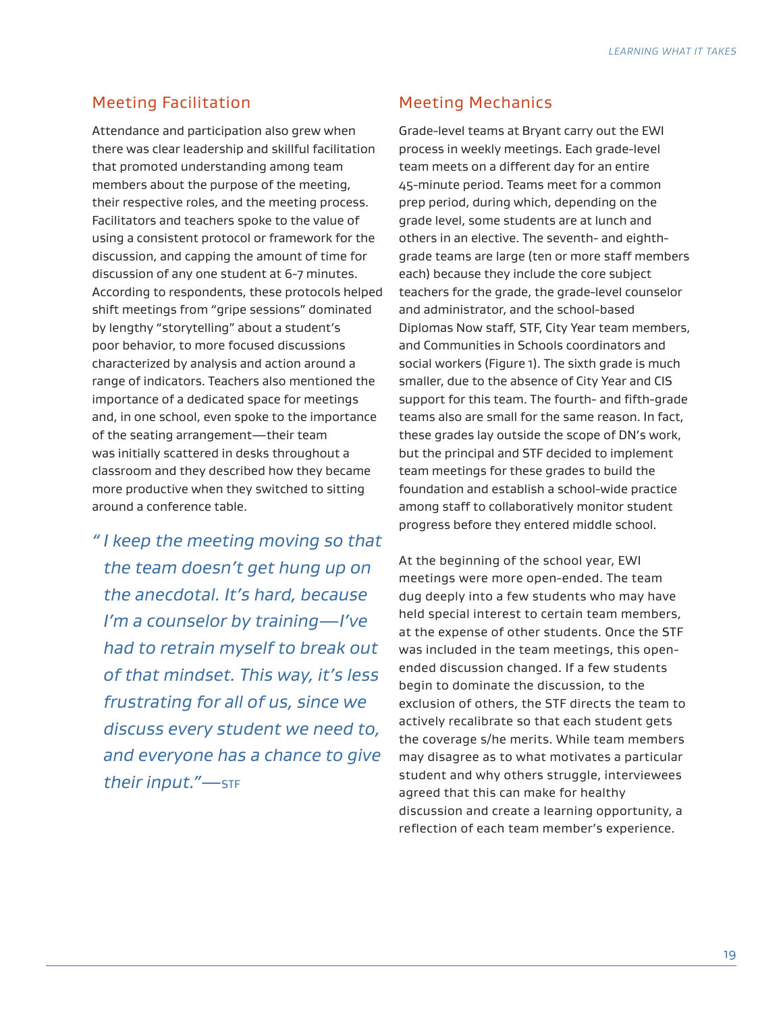#### Meeting Facilitation

Attendance and participation also grew when there was clear leadership and skillful facilitation that promoted understanding among team members about the purpose of the meeting, their respective roles, and the meeting process. Facilitators and teachers spoke to the value of using a consistent protocol or framework for the discussion, and capping the amount of time for discussion of any one student at 6-7 minutes. According to respondents, these protocols helped shift meetings from "gripe sessions" dominated by lengthy "storytelling" about a student's poor behavior, to more focused discussions characterized by analysis and action around a range of indicators. Teachers also mentioned the importance of a dedicated space for meetings and, in one school, even spoke to the importance of the seating arrangement—their team was initially scattered in desks throughout a classroom and they described how they became more productive when they switched to sitting around a conference table.

*" I keep the meeting moving so that the team doesn't get hung up on the anecdotal. It's hard, because I'm a counselor by training—I've had to retrain myself to break out of that mindset. This way, it's less frustrating for all of us, since we discuss every student we need to, and everyone has a chance to give their input."—*STF

#### Meeting Mechanics

Grade-level teams at Bryant carry out the EWI process in weekly meetings. Each grade-level team meets on a different day for an entire 45-minute period. Teams meet for a common prep period, during which, depending on the grade level, some students are at lunch and others in an elective. The seventh- and eighthgrade teams are large (ten or more staff members each) because they include the core subject teachers for the grade, the grade-level counselor and administrator, and the school-based Diplomas Now staff, STF, City Year team members, and Communities in Schools coordinators and social workers (Figure 1). The sixth grade is much smaller, due to the absence of City Year and CIS support for this team. The fourth- and fifth-grade teams also are small for the same reason. In fact, these grades lay outside the scope of DN's work, but the principal and STF decided to implement team meetings for these grades to build the foundation and establish a school-wide practice among staff to collaboratively monitor student progress before they entered middle school.

At the beginning of the school year, EWI meetings were more open-ended. The team dug deeply into a few students who may have held special interest to certain team members, at the expense of other students. Once the STF was included in the team meetings, this openended discussion changed. If a few students begin to dominate the discussion, to the exclusion of others, the STF directs the team to actively recalibrate so that each student gets the coverage s/he merits. While team members may disagree as to what motivates a particular student and why others struggle, interviewees agreed that this can make for healthy discussion and create a learning opportunity, a reflection of each team member's experience.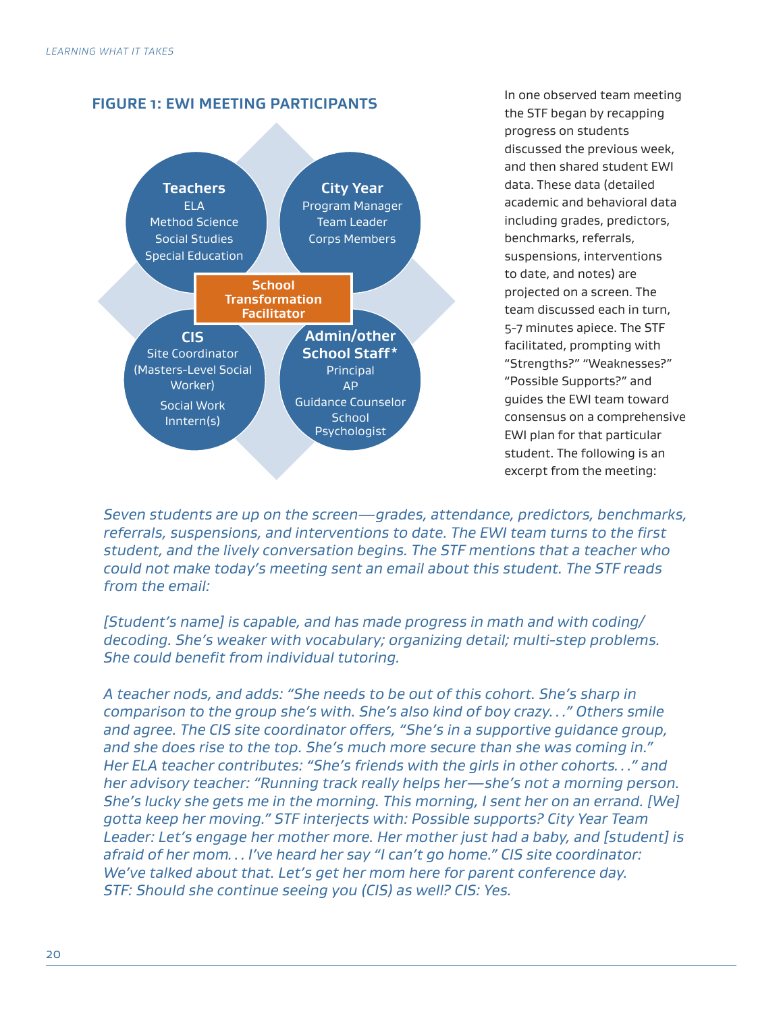#### **Figure 1: EWI Meeting Participants**



In one observed team meeting the STF began by recapping progress on students discussed the previous week, and then shared student EWI data. These data (detailed academic and behavioral data including grades, predictors, benchmarks, referrals, suspensions, interventions to date, and notes) are projected on a screen. The team discussed each in turn, 5-7 minutes apiece. The STF facilitated, prompting with "Strengths?" "Weaknesses?" "Possible Supports?" and guides the EWI team toward consensus on a comprehensive EWI plan for that particular student. The following is an excerpt from the meeting:

*Seven students are up on the screen—grades, attendance, predictors, benchmarks, referrals, suspensions, and interventions to date. The EWI team turns to the first student, and the lively conversation begins. The STF mentions that a teacher who could not make today's meeting sent an email about this student. The STF reads from the email:* 

*[Student's name] is capable, and has made progress in math and with coding/ decoding. She's weaker with vocabulary; organizing detail; multi-step problems. She could benefit from individual tutoring.* 

*A teacher nods, and adds: "She needs to be out of this cohort. She's sharp in comparison to the group she's with. She's also kind of boy crazy…" Others smile and agree. The CIS site coordinator offers, "She's in a supportive guidance group, and she does rise to the top. She's much more secure than she was coming in." Her ELA teacher contributes: "She's friends with the girls in other cohorts…" and her advisory teacher: "Running track really helps her—she's not a morning person. She's lucky she gets me in the morning. This morning, I sent her on an errand. [We] gotta keep her moving." STF interjects with: Possible supports? City Year Team Leader: Let's engage her mother more. Her mother just had a baby, and [student] is afraid of her mom… I've heard her say "I can't go home." CIS site coordinator: We've talked about that. Let's get her mom here for parent conference day. STF: Should she continue seeing you (CIS) as well? CIS: Yes.*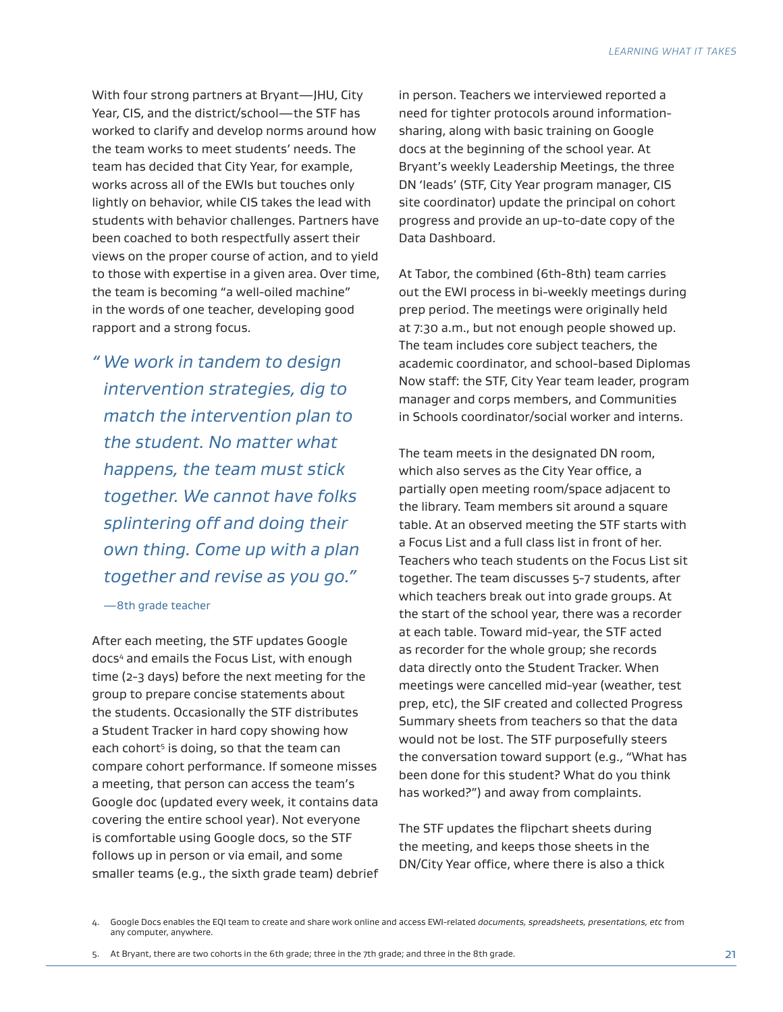With four strong partners at Bryant—JHU, City Year, CIS, and the district/school—the STF has worked to clarify and develop norms around how the team works to meet students' needs. The team has decided that City Year, for example, works across all of the EWIs but touches only lightly on behavior, while CIS takes the lead with students with behavior challenges. Partners have been coached to both respectfully assert their views on the proper course of action, and to yield to those with expertise in a given area. Over time, the team is becoming "a well-oiled machine" in the words of one teacher, developing good rapport and a strong focus.

*" We work in tandem to design intervention strategies, dig to match the intervention plan to the student. No matter what happens, the team must stick together. We cannot have folks splintering off and doing their own thing. Come up with a plan together and revise as you go."*

#### —8th grade teacher

After each meeting, the STF updates Google docs4 and emails the Focus List, with enough time (2-3 days) before the next meeting for the group to prepare concise statements about the students. Occasionally the STF distributes a Student Tracker in hard copy showing how each cohort<sup>5</sup> is doing, so that the team can compare cohort performance. If someone misses a meeting, that person can access the team's Google doc (updated every week, it contains data covering the entire school year). Not everyone is comfortable using Google docs, so the STF follows up in person or via email, and some smaller teams (e.g., the sixth grade team) debrief

in person. Teachers we interviewed reported a need for tighter protocols around informationsharing, along with basic training on Google docs at the beginning of the school year. At Bryant's weekly Leadership Meetings, the three DN 'leads' (STF, City Year program manager, CIS site coordinator) update the principal on cohort progress and provide an up-to-date copy of the Data Dashboard.

At Tabor, the combined (6th-8th) team carries out the EWI process in bi-weekly meetings during prep period. The meetings were originally held at 7:30 a.m., but not enough people showed up. The team includes core subject teachers, the academic coordinator, and school-based Diplomas Now staff: the STF, City Year team leader, program manager and corps members, and Communities in Schools coordinator/social worker and interns.

The team meets in the designated DN room, which also serves as the City Year office, a partially open meeting room/space adjacent to the library. Team members sit around a square table. At an observed meeting the STF starts with a Focus List and a full class list in front of her. Teachers who teach students on the Focus List sit together. The team discusses 5-7 students, after which teachers break out into grade groups. At the start of the school year, there was a recorder at each table. Toward mid-year, the STF acted as recorder for the whole group; she records data directly onto the Student Tracker. When meetings were cancelled mid-year (weather, test prep, etc), the SIF created and collected Progress Summary sheets from teachers so that the data would not be lost. The STF purposefully steers the conversation toward support (e.g., "What has been done for this student? What do you think has worked?") and away from complaints.

The STF updates the flipchart sheets during the meeting, and keeps those sheets in the DN/City Year office, where there is also a thick

<sup>4.</sup> Google Docs enables the EQI team to create and share work online and access EWI-related *documents, spreadsheets, presentations, etc* from any computer, anywhere.

<sup>5.</sup> At Bryant, there are two cohorts in the 6th grade; three in the 7th grade; and three in the 8th grade.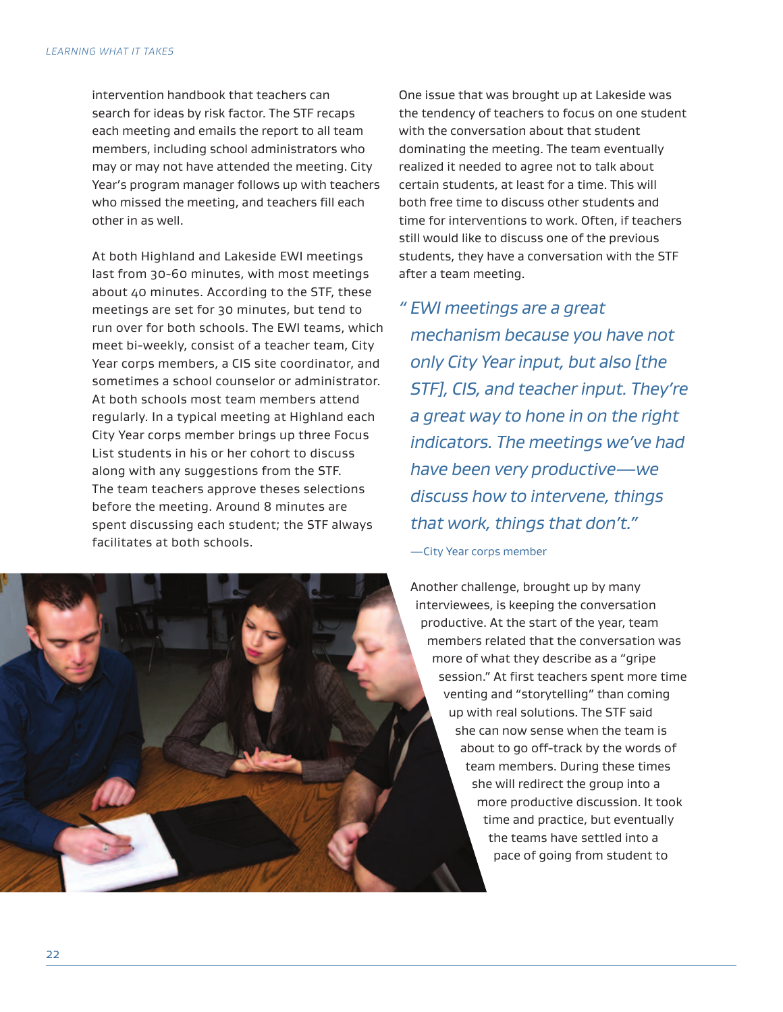intervention handbook that teachers can search for ideas by risk factor. The STF recaps each meeting and emails the report to all team members, including school administrators who may or may not have attended the meeting. City Year's program manager follows up with teachers who missed the meeting, and teachers fill each other in as well.

At both Highland and Lakeside EWI meetings last from 30-60 minutes, with most meetings about 40 minutes. According to the STF, these meetings are set for 30 minutes, but tend to run over for both schools. The EWI teams, which meet bi-weekly, consist of a teacher team, City Year corps members, a CIS site coordinator, and sometimes a school counselor or administrator. At both schools most team members attend regularly. In a typical meeting at Highland each City Year corps member brings up three Focus List students in his or her cohort to discuss along with any suggestions from the STF. The team teachers approve theses selections before the meeting. Around 8 minutes are spent discussing each student; the STF always facilitates at both schools.

One issue that was brought up at Lakeside was the tendency of teachers to focus on one student with the conversation about that student dominating the meeting. The team eventually realized it needed to agree not to talk about certain students, at least for a time. This will both free time to discuss other students and time for interventions to work. Often, if teachers still would like to discuss one of the previous students, they have a conversation with the STF after a team meeting.

*" EWI meetings are a great mechanism because you have not only City Year input, but also [the STF], CIS, and teacher input. They're a great way to hone in on the right indicators. The meetings we've had have been very productive—we discuss how to intervene, things that work, things that don't."*

#### —City Year corps member

Another challenge, brought up by many interviewees, is keeping the conversation productive. At the start of the year, team members related that the conversation was more of what they describe as a "gripe session." At first teachers spent more time venting and "storytelling" than coming up with real solutions. The STF said she can now sense when the team is about to go off-track by the words of team members. During these times she will redirect the group into a more productive discussion. It took time and practice, but eventually the teams have settled into a pace of going from student to

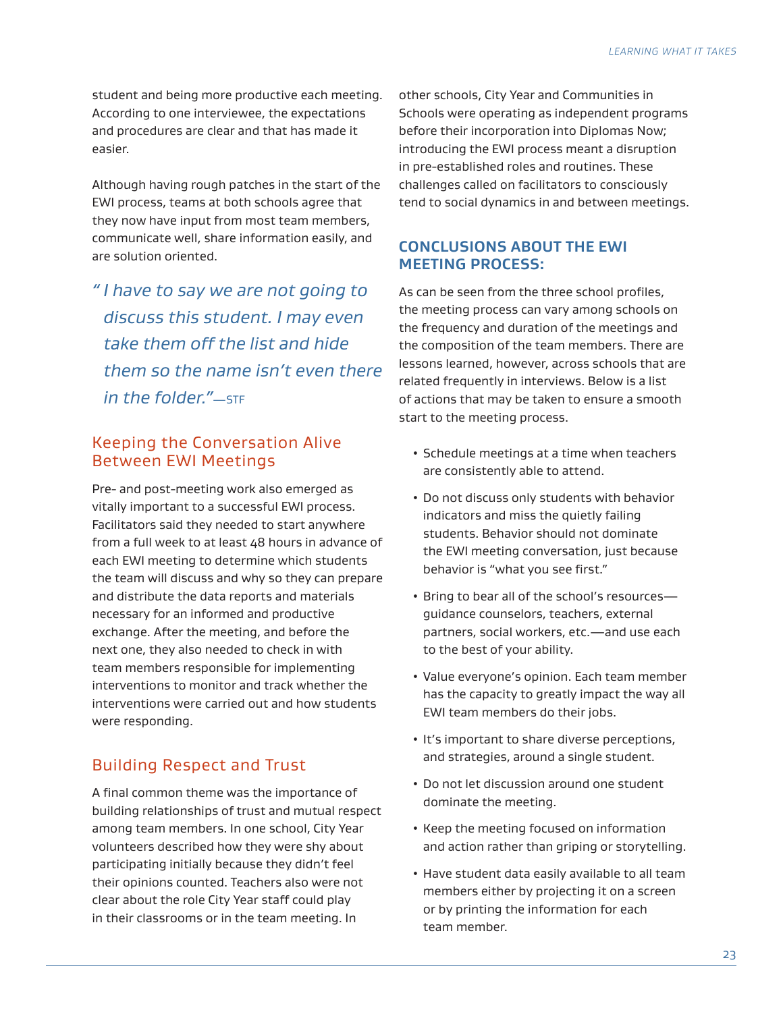student and being more productive each meeting. According to one interviewee, the expectations and procedures are clear and that has made it easier.

Although having rough patches in the start of the EWI process, teams at both schools agree that they now have input from most team members, communicate well, share information easily, and are solution oriented.

*" I have to say we are not going to discuss this student. I may even take them off the list and hide them so the name isn't even there in the folder."*—STE

### Keeping the Conversation Alive Between EWI Meetings

Pre- and post-meeting work also emerged as vitally important to a successful EWI process. Facilitators said they needed to start anywhere from a full week to at least 48 hours in advance of each EWI meeting to determine which students the team will discuss and why so they can prepare and distribute the data reports and materials necessary for an informed and productive exchange. After the meeting, and before the next one, they also needed to check in with team members responsible for implementing interventions to monitor and track whether the interventions were carried out and how students were responding.

### Building Respect and Trust

A final common theme was the importance of building relationships of trust and mutual respect among team members. In one school, City Year volunteers described how they were shy about participating initially because they didn't feel their opinions counted. Teachers also were not clear about the role City Year staff could play in their classrooms or in the team meeting. In

other schools, City Year and Communities in Schools were operating as independent programs before their incorporation into Diplomas Now; introducing the EWI process meant a disruption in pre-established roles and routines. These challenges called on facilitators to consciously tend to social dynamics in and between meetings.

### **Conclusions about the EWI Meeting Process:**

As can be seen from the three school profiles, the meeting process can vary among schools on the frequency and duration of the meetings and the composition of the team members. There are lessons learned, however, across schools that are related frequently in interviews. Below is a list of actions that may be taken to ensure a smooth start to the meeting process.

- • Schedule meetings at a time when teachers are consistently able to attend.
- • Do not discuss only students with behavior indicators and miss the quietly failing students. Behavior should not dominate the EWI meeting conversation, just because behavior is "what you see first."
- Bring to bear all of the school's resourcesguidance counselors, teachers, external partners, social workers, etc.—and use each to the best of your ability.
- • Value everyone's opinion. Each team member has the capacity to greatly impact the way all EWI team members do their jobs.
- It's important to share diverse perceptions, and strategies, around a single student.
- Do not let discussion around one student dominate the meeting.
- Keep the meeting focused on information and action rather than griping or storytelling.
- Have student data easily available to all team members either by projecting it on a screen or by printing the information for each team member.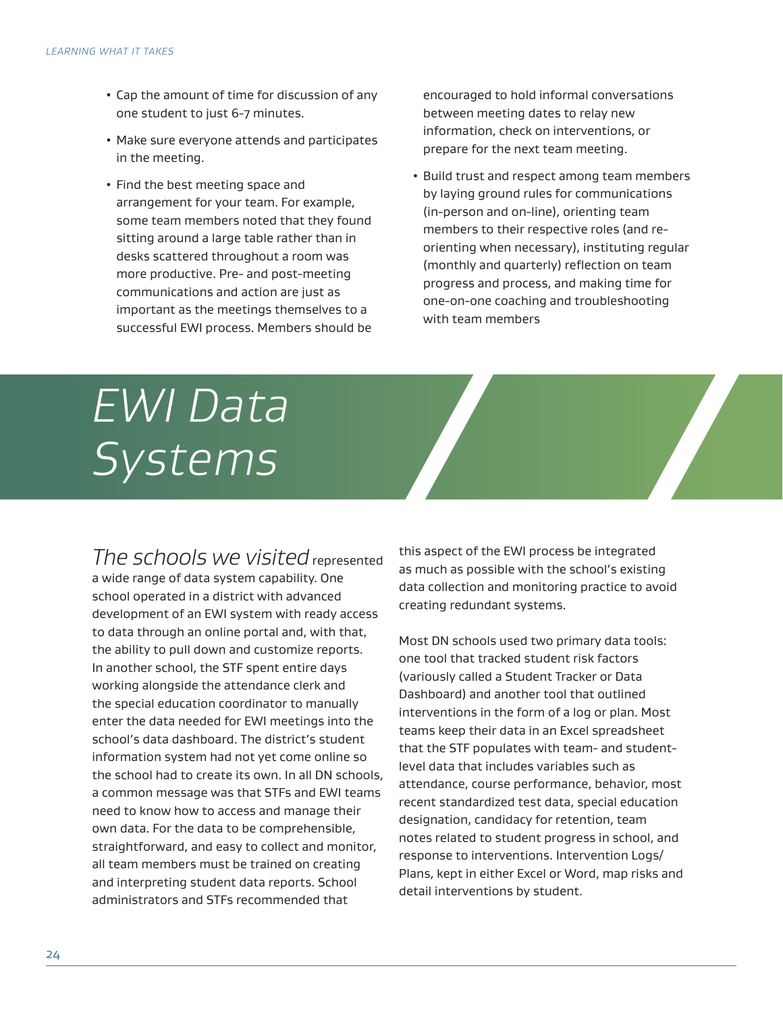- <span id="page-27-0"></span>• Cap the amount of time for discussion of any one student to just 6-7 minutes.
- Make sure everyone attends and participates in the meeting.
- Find the best meeting space and arrangement for your team. For example, some team members noted that they found sitting around a large table rather than in desks scattered throughout a room was more productive. Pre- and post-meeting communications and action are just as important as the meetings themselves to a successful EWI process. Members should be

encouraged to hold informal conversations between meeting dates to relay new information, check on interventions, or prepare for the next team meeting.

• Build trust and respect among team members by laying ground rules for communications (in-person and on-line), orienting team members to their respective roles (and reorienting when necessary), instituting regular (monthly and quarterly) reflection on team progress and process, and making time for one-on-one coaching and troubleshooting with team members

# *EWI Data Systems*

*The schools we visited* represented

a wide range of data system capability. One school operated in a district with advanced development of an EWI system with ready access to data through an online portal and, with that, the ability to pull down and customize reports. In another school, the STF spent entire days working alongside the attendance clerk and the special education coordinator to manually enter the data needed for EWI meetings into the school's data dashboard. The district's student information system had not yet come online so the school had to create its own. In all DN schools, a common message was that STFs and EWI teams need to know how to access and manage their own data. For the data to be comprehensible, straightforward, and easy to collect and monitor, all team members must be trained on creating and interpreting student data reports. School administrators and STFs recommended that

this aspect of the EWI process be integrated as much as possible with the school's existing data collection and monitoring practice to avoid creating redundant systems.

Most DN schools used two primary data tools: one tool that tracked student risk factors (variously called a Student Tracker or Data Dashboard) and another tool that outlined interventions in the form of a log or plan. Most teams keep their data in an Excel spreadsheet that the STF populates with team- and studentlevel data that includes variables such as attendance, course performance, behavior, most recent standardized test data, special education designation, candidacy for retention, team notes related to student progress in school, and response to interventions. Intervention Logs/ Plans, kept in either Excel or Word, map risks and detail interventions by student.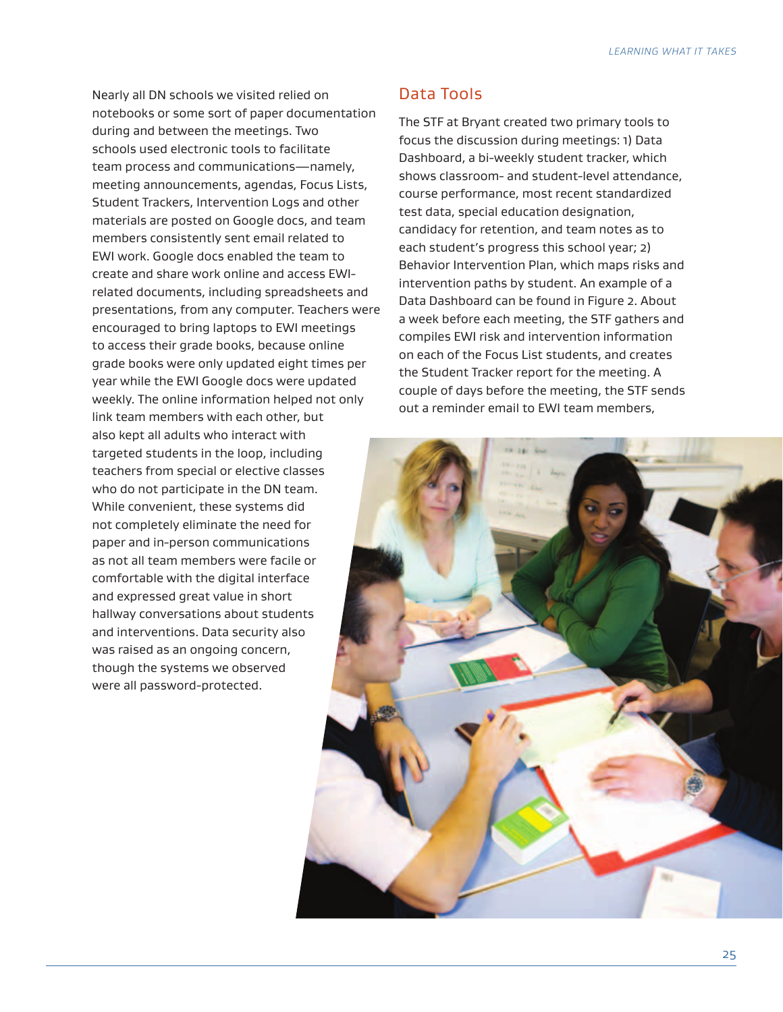Nearly all DN schools we visited relied on notebooks or some sort of paper documentation during and between the meetings. Two schools used electronic tools to facilitate team process and communications—namely, meeting announcements, agendas, Focus Lists, Student Trackers, Intervention Logs and other materials are posted on Google docs, and team members consistently sent email related to EWI work. Google docs enabled the team to create and share work online and access EWIrelated documents, including spreadsheets and presentations, from any computer. Teachers were encouraged to bring laptops to EWI meetings to access their grade books, because online grade books were only updated eight times per year while the EWI Google docs were updated weekly. The online information helped not only link team members with each other, but also kept all adults who interact with targeted students in the loop, including teachers from special or elective classes who do not participate in the DN team. While convenient, these systems did not completely eliminate the need for paper and in-person communications as not all team members were facile or comfortable with the digital interface and expressed great value in short hallway conversations about students and interventions. Data security also was raised as an ongoing concern, though the systems we observed were all password-protected.

### Data Tools

The STF at Bryant created two primary tools to focus the discussion during meetings: 1) Data Dashboard, a bi-weekly student tracker, which shows classroom- and student-level attendance, course performance, most recent standardized test data, special education designation, candidacy for retention, and team notes as to each student's progress this school year; 2) Behavior Intervention Plan, which maps risks and intervention paths by student. An example of a Data Dashboard can be found in Figure 2. About a week before each meeting, the STF gathers and compiles EWI risk and intervention information on each of the Focus List students, and creates the Student Tracker report for the meeting. A couple of days before the meeting, the STF sends out a reminder email to EWI team members,

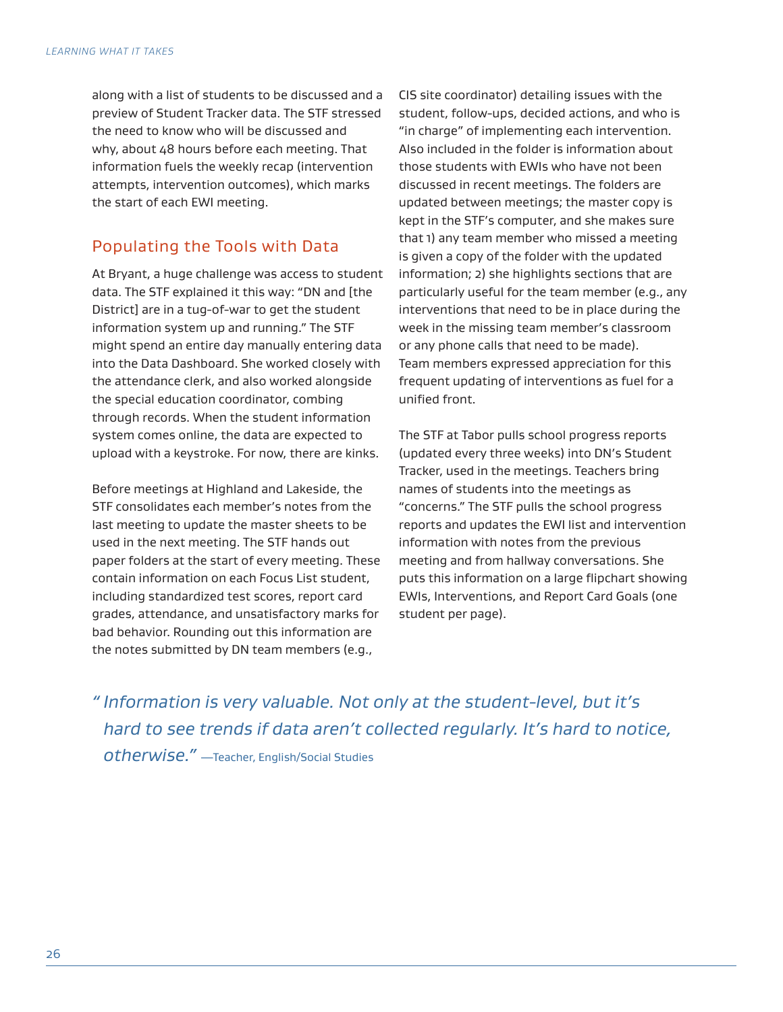along with a list of students to be discussed and a preview of Student Tracker data. The STF stressed the need to know who will be discussed and why, about 48 hours before each meeting. That information fuels the weekly recap (intervention attempts, intervention outcomes), which marks the start of each EWI meeting.

### Populating the Tools with Data

At Bryant, a huge challenge was access to student data. The STF explained it this way: "DN and [the District] are in a tug-of-war to get the student information system up and running." The STF might spend an entire day manually entering data into the Data Dashboard. She worked closely with the attendance clerk, and also worked alongside the special education coordinator, combing through records. When the student information system comes online, the data are expected to upload with a keystroke. For now, there are kinks.

Before meetings at Highland and Lakeside, the STF consolidates each member's notes from the last meeting to update the master sheets to be used in the next meeting. The STF hands out paper folders at the start of every meeting. These contain information on each Focus List student, including standardized test scores, report card grades, attendance, and unsatisfactory marks for bad behavior. Rounding out this information are the notes submitted by DN team members (e.g.,

CIS site coordinator) detailing issues with the student, follow-ups, decided actions, and who is "in charge" of implementing each intervention. Also included in the folder is information about those students with EWIs who have not been discussed in recent meetings. The folders are updated between meetings; the master copy is kept in the STF's computer, and she makes sure that 1) any team member who missed a meeting is given a copy of the folder with the updated information; 2) she highlights sections that are particularly useful for the team member (e.g., any interventions that need to be in place during the week in the missing team member's classroom or any phone calls that need to be made). Team members expressed appreciation for this frequent updating of interventions as fuel for a unified front.

The STF at Tabor pulls school progress reports (updated every three weeks) into DN's Student Tracker, used in the meetings. Teachers bring names of students into the meetings as "concerns." The STF pulls the school progress reports and updates the EWI list and intervention information with notes from the previous meeting and from hallway conversations. She puts this information on a large flipchart showing EWIs, Interventions, and Report Card Goals (one student per page).

*" Information is very valuable. Not only at the student-level, but it's hard to see trends if data aren't collected regularly. It's hard to notice, otherwise."* —Teacher, English/Social Studies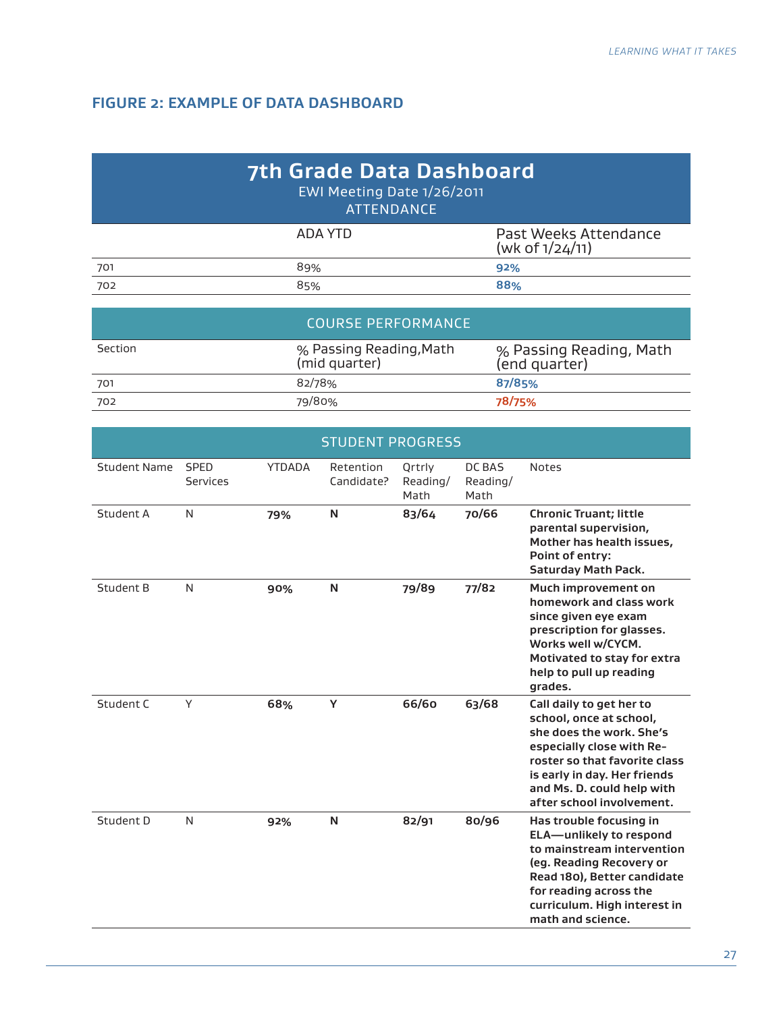### **Figure 2: Example of Data Dashboard**

| 7th Grade Data Dashboard<br>EWI Meeting Date 1/26/2011<br><b>ATTENDANCE</b> |         |                                             |  |  |
|-----------------------------------------------------------------------------|---------|---------------------------------------------|--|--|
|                                                                             | ADA YTD | Past Weeks Attendance<br>(wk of $1/24/11$ ) |  |  |
| 701                                                                         | 89%     | 92%                                         |  |  |
| 702                                                                         | 85%     | 88%                                         |  |  |

|         | COURSE PERFORMANCE                       |                                          |
|---------|------------------------------------------|------------------------------------------|
| Section | % Passing Reading, Math<br>(mid quarter) | % Passing Reading, Math<br>(end quarter) |
| 701     | 82/78%                                   | 87/85%                                   |
| 702     | 79/80%                                   | 78/75%                                   |

| <b>STUDENT PROGRESS</b> |                         |        |                         |                            |                            |                                                                                                                                                                                                                                          |
|-------------------------|-------------------------|--------|-------------------------|----------------------------|----------------------------|------------------------------------------------------------------------------------------------------------------------------------------------------------------------------------------------------------------------------------------|
| <b>Student Name</b>     | <b>SPED</b><br>Services | YTDADA | Retention<br>Candidate? | Qrtrly<br>Reading/<br>Math | DC BAS<br>Reading/<br>Math | <b>Notes</b>                                                                                                                                                                                                                             |
| Student A               | N                       | 79%    | N                       | 83/64                      | 70/66                      | <b>Chronic Truant; little</b><br>parental supervision,<br>Mother has health issues,<br><b>Point of entry:</b><br><b>Saturday Math Pack.</b>                                                                                              |
| Student B               | N                       | 90%    | N                       | 79/89                      | 77/82                      | Much improvement on<br>homework and class work<br>since given eye exam<br>prescription for glasses.<br>Works well w/CYCM.<br>Motivated to stay for extra<br>help to pull up reading<br>grades.                                           |
| Student C               | Y                       | 68%    | Y                       | 66/60                      | 63/68                      | Call daily to get her to<br>school, once at school,<br>she does the work. She's<br>especially close with Re-<br>roster so that favorite class<br>is early in day. Her friends<br>and Ms. D. could help with<br>after school involvement. |
| Student D               | N                       | 92%    | N                       | 82/91                      | 80/96                      | Has trouble focusing in<br>ELA-unlikely to respond<br>to mainstream intervention<br>(eg. Reading Recovery or<br>Read 180), Better candidate<br>for reading across the<br>curriculum. High interest in<br>math and science.               |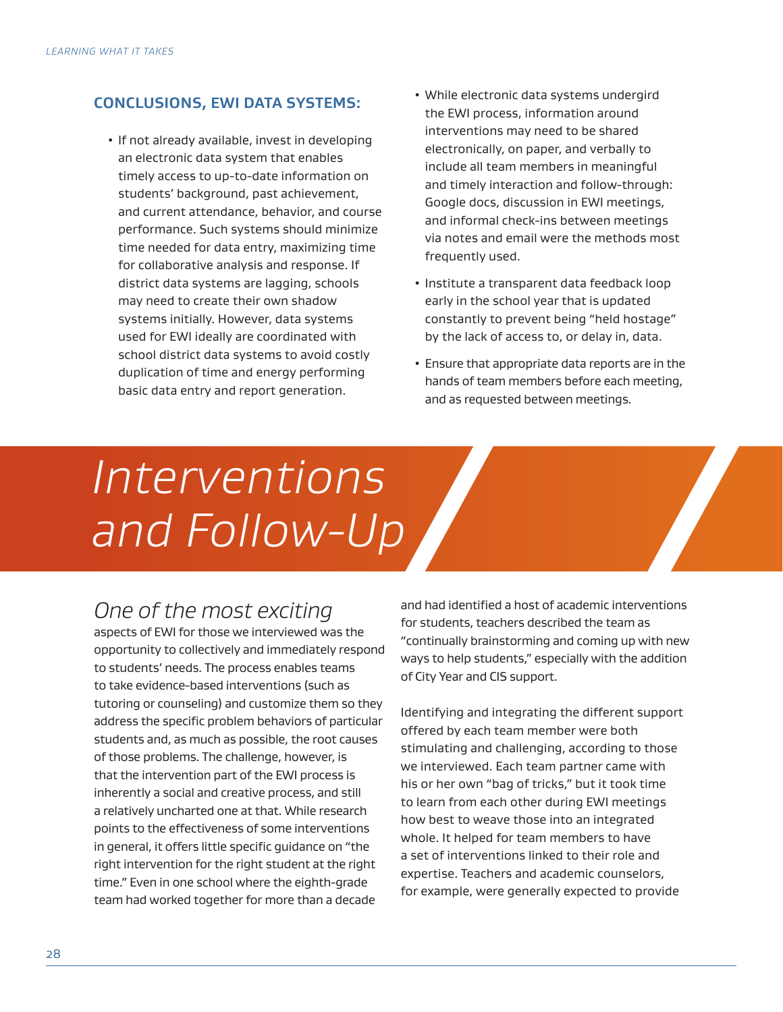### <span id="page-31-0"></span>**Conclusions, EWI Data Systems:**

- If not already available, invest in developing an electronic data system that enables timely access to up-to-date information on students' background, past achievement, and current attendance, behavior, and course performance. Such systems should minimize time needed for data entry, maximizing time for collaborative analysis and response. If district data systems are lagging, schools may need to create their own shadow systems initially. However, data systems used for EWI ideally are coordinated with school district data systems to avoid costly duplication of time and energy performing basic data entry and report generation.
- • While electronic data systems undergird the EWI process, information around interventions may need to be shared electronically, on paper, and verbally to include all team members in meaningful and timely interaction and follow-through: Google docs, discussion in EWI meetings, and informal check-ins between meetings via notes and email were the methods most frequently used.
- Institute a transparent data feedback loop early in the school year that is updated constantly to prevent being "held hostage" by the lack of access to, or delay in, data.
- Ensure that appropriate data reports are in the hands of team members before each meeting, and as requested between meetings.

# *Interventions and Follow-Up*

# *One of the most exciting*

aspects of EWI for those we interviewed was the opportunity to collectively and immediately respond to students' needs. The process enables teams to take evidence-based interventions (such as tutoring or counseling) and customize them so they address the specific problem behaviors of particular students and, as much as possible, the root causes of those problems. The challenge, however, is that the intervention part of the EWI process is inherently a social and creative process, and still a relatively uncharted one at that. While research points to the effectiveness of some interventions in general, it offers little specific guidance on "the right intervention for the right student at the right time." Even in one school where the eighth-grade team had worked together for more than a decade

and had identified a host of academic interventions for students, teachers described the team as "continually brainstorming and coming up with new ways to help students," especially with the addition of City Year and CIS support.

Identifying and integrating the different support offered by each team member were both stimulating and challenging, according to those we interviewed. Each team partner came with his or her own "bag of tricks," but it took time to learn from each other during EWI meetings how best to weave those into an integrated whole. It helped for team members to have a set of interventions linked to their role and expertise. Teachers and academic counselors, for example, were generally expected to provide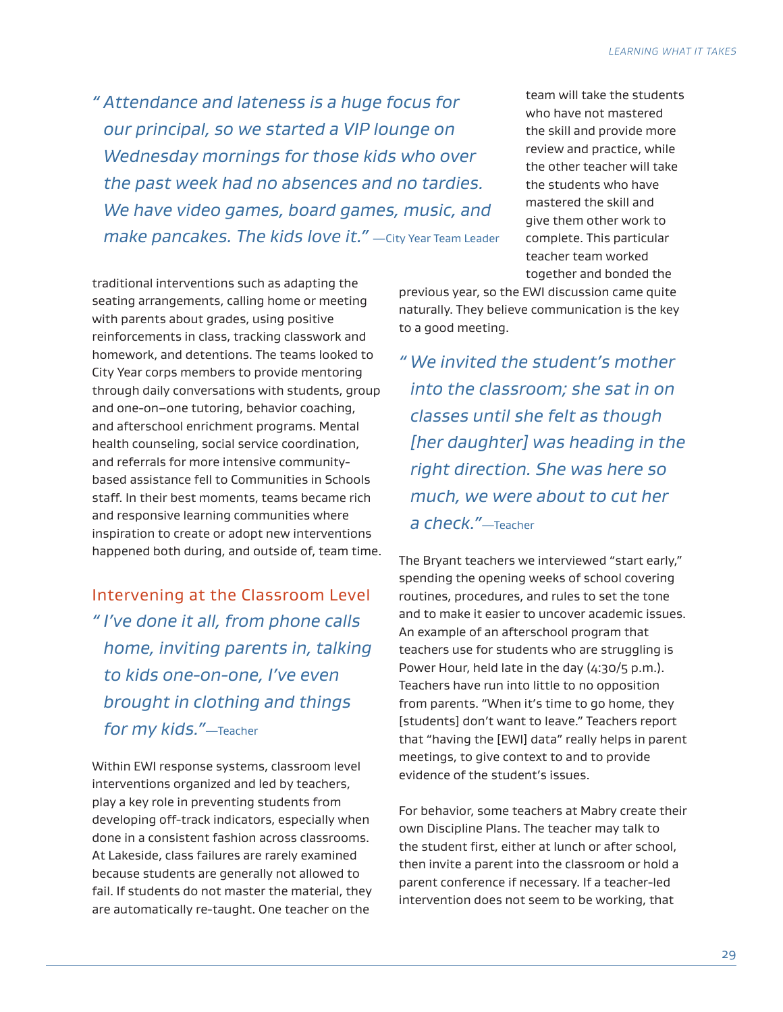*" Attendance and lateness is a huge focus for our principal, so we started a VIP lounge on Wednesday mornings for those kids who over the past week had no absences and no tardies. We have video games, board games, music, and make pancakes. The kids love it."* —City Year Team Leader

traditional interventions such as adapting the seating arrangements, calling home or meeting with parents about grades, using positive reinforcements in class, tracking classwork and homework, and detentions. The teams looked to City Year corps members to provide mentoring through daily conversations with students, group and one-on–one tutoring, behavior coaching, and afterschool enrichment programs. Mental health counseling, social service coordination, and referrals for more intensive communitybased assistance fell to Communities in Schools staff. In their best moments, teams became rich and responsive learning communities where inspiration to create or adopt new interventions happened both during, and outside of, team time.

Intervening at the Classroom Level *" I've done it all, from phone calls home, inviting parents in, talking to kids one-on-one, I've even brought in clothing and things for my kids."*—Teacher

Within EWI response systems, classroom level interventions organized and led by teachers, play a key role in preventing students from developing off-track indicators, especially when done in a consistent fashion across classrooms. At Lakeside, class failures are rarely examined because students are generally not allowed to fail. If students do not master the material, they are automatically re-taught. One teacher on the

team will take the students who have not mastered the skill and provide more review and practice, while the other teacher will take the students who have mastered the skill and give them other work to complete. This particular teacher team worked together and bonded the

previous year, so the EWI discussion came quite naturally. They believe communication is the key to a good meeting.

*" We invited the student's mother into the classroom; she sat in on classes until she felt as though [her daughter] was heading in the right direction. She was here so much, we were about to cut her a check."*—Teacher

The Bryant teachers we interviewed "start early," spending the opening weeks of school covering routines, procedures, and rules to set the tone and to make it easier to uncover academic issues. An example of an afterschool program that teachers use for students who are struggling is Power Hour, held late in the day (4:30/5 p.m.). Teachers have run into little to no opposition from parents. "When it's time to go home, they [students] don't want to leave." Teachers report that "having the [EWI] data" really helps in parent meetings, to give context to and to provide evidence of the student's issues.

For behavior, some teachers at Mabry create their own Discipline Plans. The teacher may talk to the student first, either at lunch or after school, then invite a parent into the classroom or hold a parent conference if necessary. If a teacher-led intervention does not seem to be working, that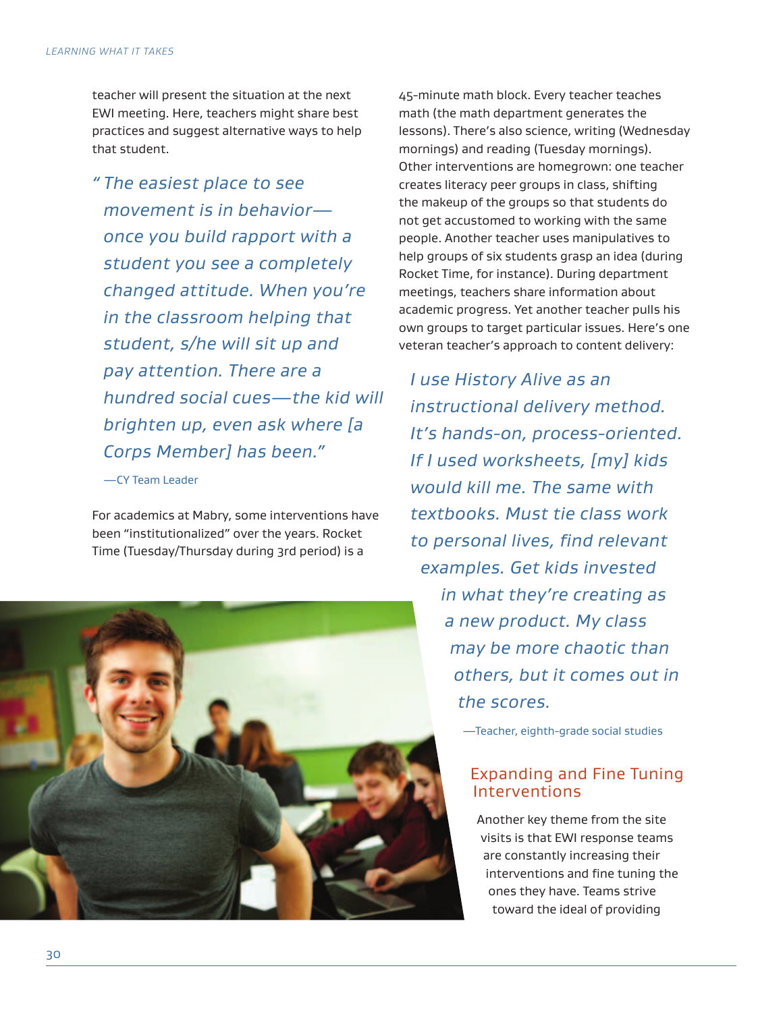teacher will present the situation at the next EWI meeting. Here, teachers might share best practices and suggest alternative ways to help that student.

*" The easiest place to see movement is in behavior once you build rapport with a student you see a completely changed attitude. When you're in the classroom helping that student, s/he will sit up and pay attention. There are a hundred social cues—the kid will brighten up, even ask where [a Corps Member] has been."* 

#### —CY Team Leader

For academics at Mabry, some interventions have been "institutionalized" over the years. Rocket Time (Tuesday/Thursday during 3rd period) is a



45-minute math block. Every teacher teaches math (the math department generates the lessons). There's also science, writing (Wednesday mornings) and reading (Tuesday mornings). Other interventions are homegrown: one teacher creates literacy peer groups in class, shifting the makeup of the groups so that students do not get accustomed to working with the same people. Another teacher uses manipulatives to help groups of six students grasp an idea (during Rocket Time, for instance). During department meetings, teachers share information about academic progress. Yet another teacher pulls his own groups to target particular issues. Here's one veteran teacher's approach to content delivery:

*I use History Alive as an instructional delivery method. It's hands-on, process-oriented. If I used worksheets, [my] kids would kill me. The same with textbooks. Must tie class work to personal lives, find relevant examples. Get kids invested in what they're creating as a new product. My class may be more chaotic than others, but it comes out in the scores.* 

—Teacher, eighth-grade social studies

#### Expanding and Fine Tuning Interventions

Another key theme from the site visits is that EWI response teams are constantly increasing their interventions and fine tuning the ones they have. Teams strive toward the ideal of providing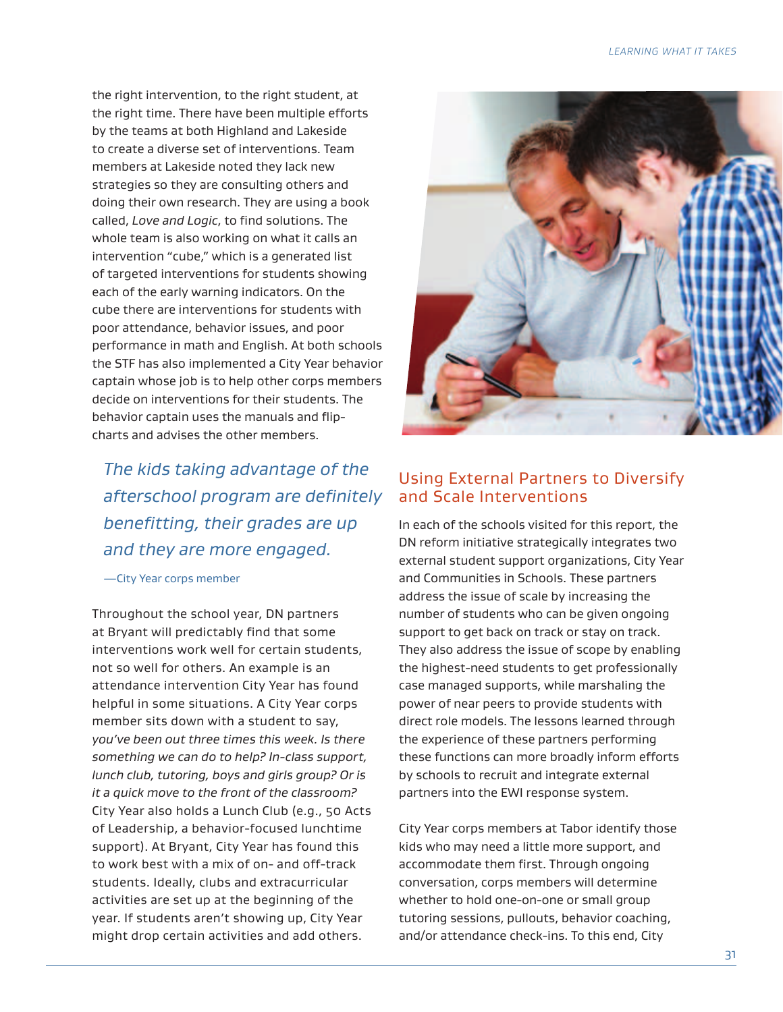the right intervention, to the right student, at the right time. There have been multiple efforts by the teams at both Highland and Lakeside to create a diverse set of interventions. Team members at Lakeside noted they lack new strategies so they are consulting others and doing their own research. They are using a book called, *Love and Logic*, to find solutions. The whole team is also working on what it calls an intervention "cube," which is a generated list of targeted interventions for students showing each of the early warning indicators. On the cube there are interventions for students with poor attendance, behavior issues, and poor performance in math and English. At both schools the STF has also implemented a City Year behavior captain whose job is to help other corps members decide on interventions for their students. The behavior captain uses the manuals and flipcharts and advises the other members.

*The kids taking advantage of the afterschool program are definitely benefitting, their grades are up and they are more engaged.*

—City Year corps member

Throughout the school year, DN partners at Bryant will predictably find that some interventions work well for certain students, not so well for others. An example is an attendance intervention City Year has found helpful in some situations. A City Year corps member sits down with a student to say, *you've been out three times this week. Is there something we can do to help? In-class support, lunch club, tutoring, boys and girls group? Or is it a quick move to the front of the classroom?* City Year also holds a Lunch Club (e.g., 50 Acts of Leadership, a behavior-focused lunchtime support). At Bryant, City Year has found this to work best with a mix of on- and off-track students. Ideally, clubs and extracurricular activities are set up at the beginning of the year. If students aren't showing up, City Year might drop certain activities and add others.



### Using External Partners to Diversify and Scale Interventions

In each of the schools visited for this report, the DN reform initiative strategically integrates two external student support organizations, City Year and Communities in Schools. These partners address the issue of scale by increasing the number of students who can be given ongoing support to get back on track or stay on track. They also address the issue of scope by enabling the highest-need students to get professionally case managed supports, while marshaling the power of near peers to provide students with direct role models. The lessons learned through the experience of these partners performing these functions can more broadly inform efforts by schools to recruit and integrate external partners into the EWI response system.

City Year corps members at Tabor identify those kids who may need a little more support, and accommodate them first. Through ongoing conversation, corps members will determine whether to hold one-on-one or small group tutoring sessions, pullouts, behavior coaching, and/or attendance check-ins. To this end, City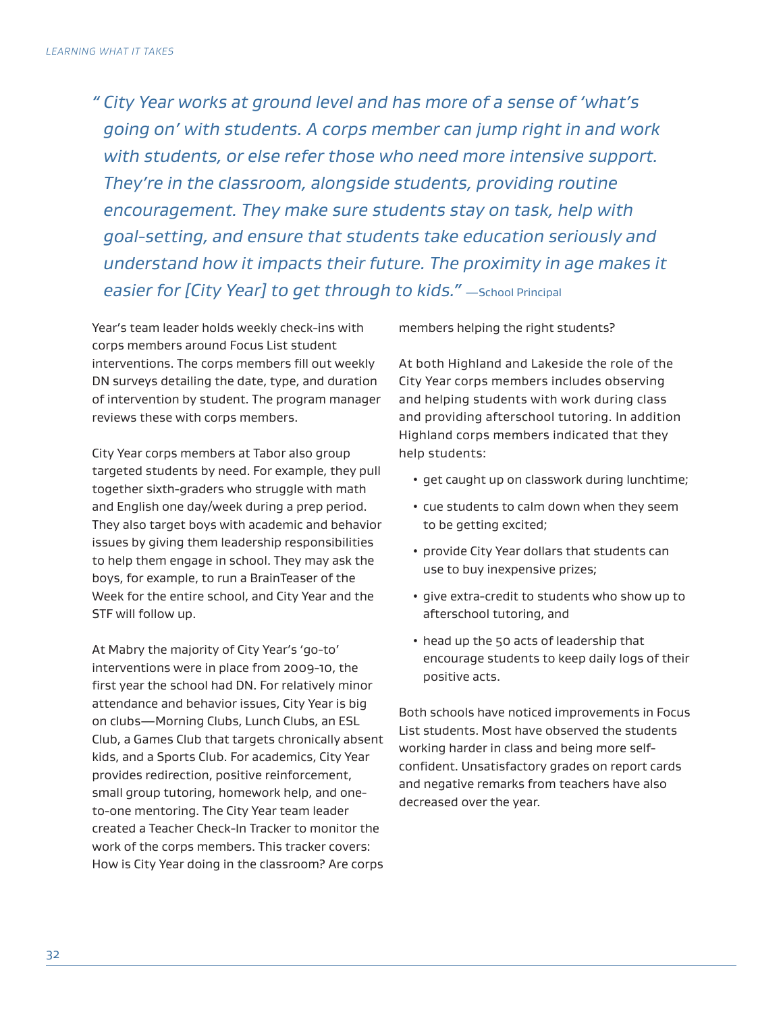*" City Year works at ground level and has more of a sense of 'what's going on' with students. A corps member can jump right in and work with students, or else refer those who need more intensive support. They're in the classroom, alongside students, providing routine encouragement. They make sure students stay on task, help with goal-setting, and ensure that students take education seriously and understand how it impacts their future. The proximity in age makes it easier for [City Year] to get through to kids." - School Principal* 

Year's team leader holds weekly check-ins with corps members around Focus List student interventions. The corps members fill out weekly DN surveys detailing the date, type, and duration of intervention by student. The program manager reviews these with corps members.

City Year corps members at Tabor also group targeted students by need. For example, they pull together sixth-graders who struggle with math and English one day/week during a prep period. They also target boys with academic and behavior issues by giving them leadership responsibilities to help them engage in school. They may ask the boys, for example, to run a BrainTeaser of the Week for the entire school, and City Year and the STF will follow up.

At Mabry the majority of City Year's 'go-to' interventions were in place from 2009-10, the first year the school had DN. For relatively minor attendance and behavior issues, City Year is big on clubs—Morning Clubs, Lunch Clubs, an ESL Club, a Games Club that targets chronically absent kids, and a Sports Club. For academics, City Year provides redirection, positive reinforcement, small group tutoring, homework help, and oneto-one mentoring. The City Year team leader created a Teacher Check-In Tracker to monitor the work of the corps members. This tracker covers: How is City Year doing in the classroom? Are corps

members helping the right students?

At both Highland and Lakeside the role of the City Year corps members includes observing and helping students with work during class and providing afterschool tutoring. In addition Highland corps members indicated that they help students:

- • get caught up on classwork during lunchtime;
- cue students to calm down when they seem to be getting excited;
- provide City Year dollars that students can use to buy inexpensive prizes;
- • give extra-credit to students who show up to afterschool tutoring, and
- head up the 50 acts of leadership that encourage students to keep daily logs of their positive acts.

Both schools have noticed improvements in Focus List students. Most have observed the students working harder in class and being more selfconfident. Unsatisfactory grades on report cards and negative remarks from teachers have also decreased over the year.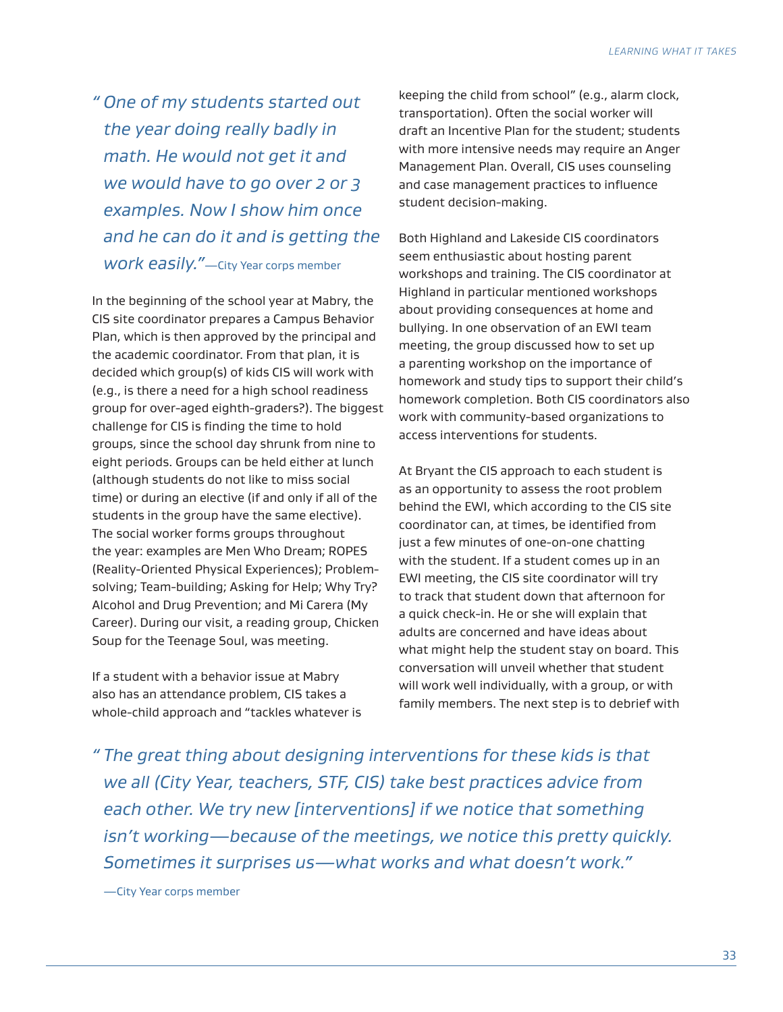*" One of my students started out the year doing really badly in math. He would not get it and we would have to go over 2 or 3 examples. Now I show him once and he can do it and is getting the work easily."*—City Year corps member

In the beginning of the school year at Mabry, the CIS site coordinator prepares a Campus Behavior Plan, which is then approved by the principal and the academic coordinator. From that plan, it is decided which group(s) of kids CIS will work with (e.g., is there a need for a high school readiness group for over-aged eighth-graders?). The biggest challenge for CIS is finding the time to hold groups, since the school day shrunk from nine to eight periods. Groups can be held either at lunch (although students do not like to miss social time) or during an elective (if and only if all of the students in the group have the same elective). The social worker forms groups throughout the year: examples are Men Who Dream; ROPES (Reality-Oriented Physical Experiences); Problemsolving; Team-building; Asking for Help; Why Try? Alcohol and Drug Prevention; and Mi Carera (My Career). During our visit, a reading group, Chicken Soup for the Teenage Soul, was meeting.

If a student with a behavior issue at Mabry also has an attendance problem, CIS takes a whole-child approach and "tackles whatever is keeping the child from school" (e.g., alarm clock, transportation). Often the social worker will draft an Incentive Plan for the student; students with more intensive needs may require an Anger Management Plan. Overall, CIS uses counseling and case management practices to influence student decision-making.

Both Highland and Lakeside CIS coordinators seem enthusiastic about hosting parent workshops and training. The CIS coordinator at Highland in particular mentioned workshops about providing consequences at home and bullying. In one observation of an EWI team meeting, the group discussed how to set up a parenting workshop on the importance of homework and study tips to support their child's homework completion. Both CIS coordinators also work with community-based organizations to access interventions for students.

At Bryant the CIS approach to each student is as an opportunity to assess the root problem behind the EWI, which according to the CIS site coordinator can, at times, be identified from just a few minutes of one-on-one chatting with the student. If a student comes up in an EWI meeting, the CIS site coordinator will try to track that student down that afternoon for a quick check-in. He or she will explain that adults are concerned and have ideas about what might help the student stay on board. This conversation will unveil whether that student will work well individually, with a group, or with family members. The next step is to debrief with

*" The great thing about designing interventions for these kids is that we all (City Year, teachers, STF, CIS) take best practices advice from each other. We try new [interventions] if we notice that something isn't working—because of the meetings, we notice this pretty quickly. Sometimes it surprises us—what works and what doesn't work."*

—City Year corps member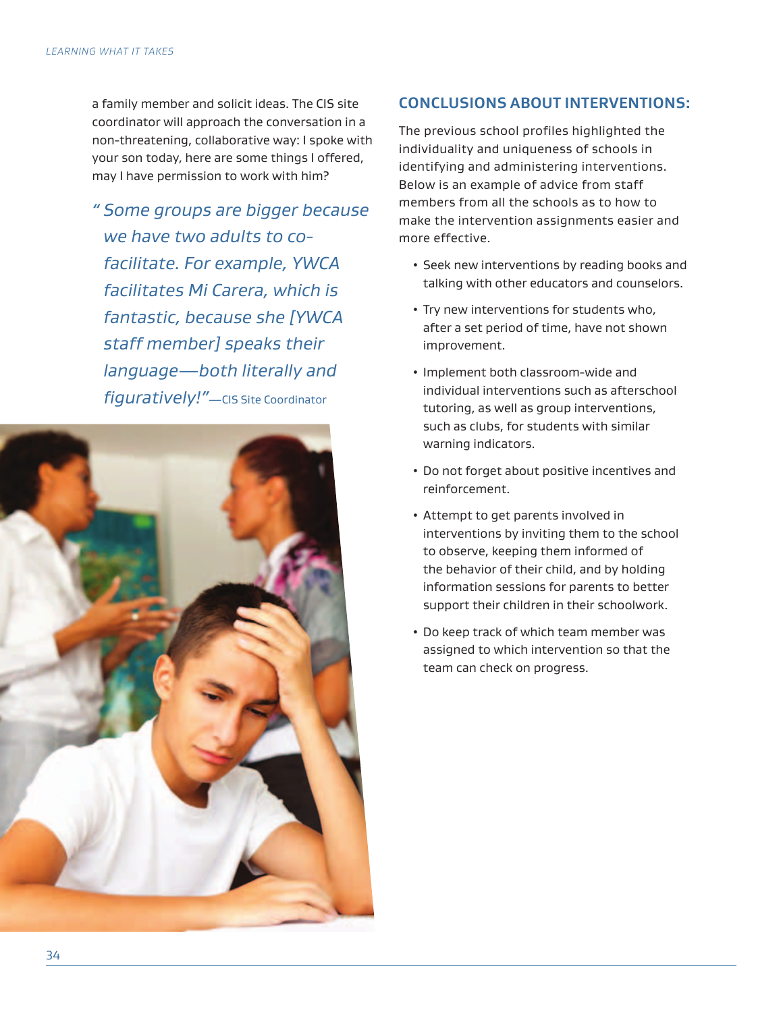a family member and solicit ideas. The CIS site coordinator will approach the conversation in a non-threatening, collaborative way: I spoke with your son today, here are some things I offered, may I have permission to work with him?

*" Some groups are bigger because we have two adults to cofacilitate. For example, YWCA facilitates Mi Carera, which is fantastic, because she [YWCA staff member] speaks their language—both literally and figuratively!"*—CIS Site Coordinator



#### **Conclusions about Interventions:**

The previous school profiles highlighted the individuality and uniqueness of schools in identifying and administering interventions. Below is an example of advice from staff members from all the schools as to how to make the intervention assignments easier and more effective.

- • Seek new interventions by reading books and talking with other educators and counselors.
- Try new interventions for students who, after a set period of time, have not shown improvement.
- • Implement both classroom-wide and individual interventions such as afterschool tutoring, as well as group interventions, such as clubs, for students with similar warning indicators.
- • Do not forget about positive incentives and reinforcement.
- Attempt to get parents involved in interventions by inviting them to the school to observe, keeping them informed of the behavior of their child, and by holding information sessions for parents to better support their children in their schoolwork.
- • Do keep track of which team member was assigned to which intervention so that the team can check on progress.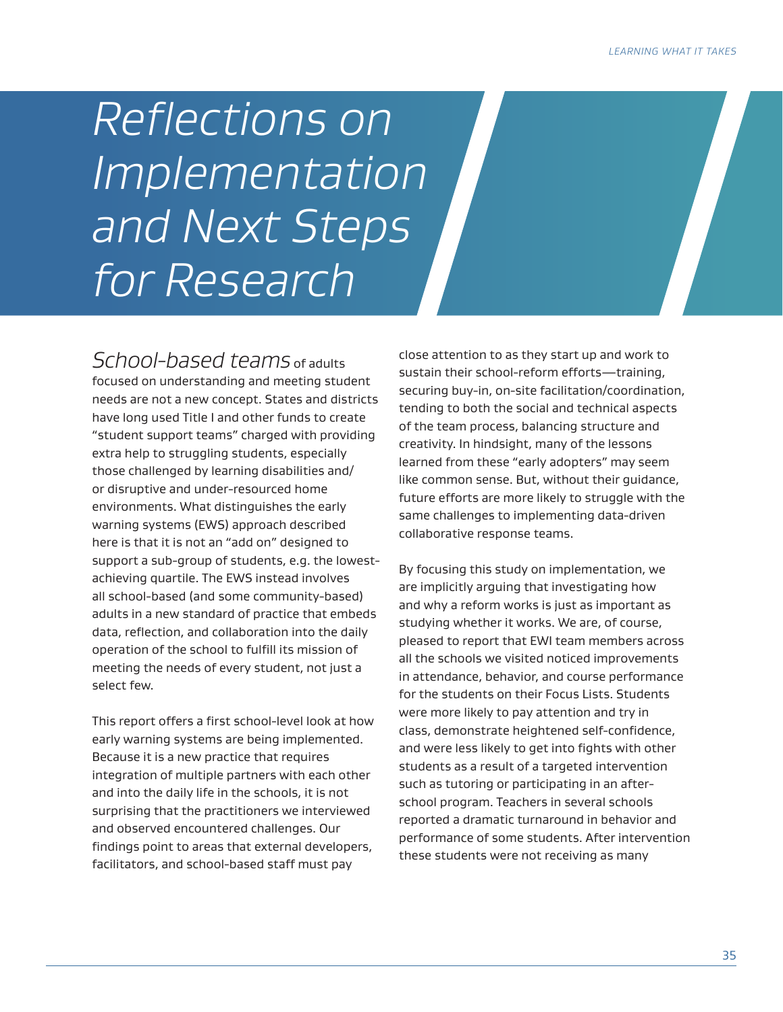# <span id="page-38-0"></span>*Reflections on Implementation and Next Steps for Research*

*School-based teams* of adults focused on understanding and meeting student needs are not a new concept. States and districts have long used Title I and other funds to create "student support teams" charged with providing extra help to struggling students, especially those challenged by learning disabilities and/ or disruptive and under-resourced home environments. What distinguishes the early warning systems (EWS) approach described here is that it is not an "add on" designed to support a sub-group of students, e.g. the lowestachieving quartile. The EWS instead involves all school-based (and some community-based) adults in a new standard of practice that embeds data, reflection, and collaboration into the daily operation of the school to fulfill its mission of meeting the needs of every student, not just a select few.

This report offers a first school-level look at how early warning systems are being implemented. Because it is a new practice that requires integration of multiple partners with each other and into the daily life in the schools, it is not surprising that the practitioners we interviewed and observed encountered challenges. Our findings point to areas that external developers, facilitators, and school-based staff must pay

close attention to as they start up and work to sustain their school-reform efforts—training, securing buy-in, on-site facilitation/coordination, tending to both the social and technical aspects of the team process, balancing structure and creativity. In hindsight, many of the lessons learned from these "early adopters" may seem like common sense. But, without their guidance, future efforts are more likely to struggle with the same challenges to implementing data-driven collaborative response teams.

By focusing this study on implementation, we are implicitly arguing that investigating how and why a reform works is just as important as studying whether it works. We are, of course, pleased to report that EWI team members across all the schools we visited noticed improvements in attendance, behavior, and course performance for the students on their Focus Lists. Students were more likely to pay attention and try in class, demonstrate heightened self-confidence, and were less likely to get into fights with other students as a result of a targeted intervention such as tutoring or participating in an afterschool program. Teachers in several schools reported a dramatic turnaround in behavior and performance of some students. After intervention these students were not receiving as many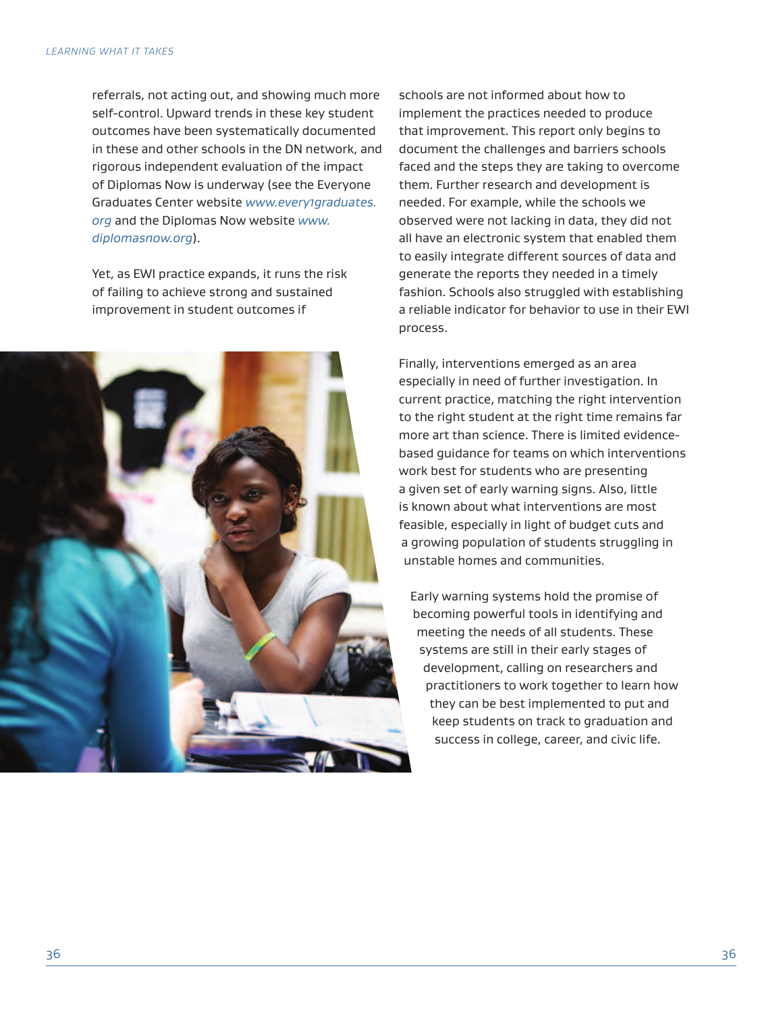referrals, not acting out, and showing much more self-control. Upward trends in these key student outcomes have been systematically documented in these and other schools in the DN network, and rigorous independent evaluation of the impact of Diplomas Now is underway (see the Everyone Graduates Center website *[www.every1graduates.](http://www.every1graduates) org* and the Diplomas Now website *[www.](http://www.diplomasnow.org) [diplomasnow.org](http://www.diplomasnow.org)*).

Yet, as EWI practice expands, it runs the risk of failing to achieve strong and sustained improvement in student outcomes if



schools are not informed about how to implement the practices needed to produce that improvement. This report only begins to document the challenges and barriers schools faced and the steps they are taking to overcome them. Further research and development is needed. For example, while the schools we observed were not lacking in data, they did not all have an electronic system that enabled them to easily integrate different sources of data and generate the reports they needed in a timely fashion. Schools also struggled with establishing a reliable indicator for behavior to use in their EWI process.

Finally, interventions emerged as an area especially in need of further investigation. In current practice, matching the right intervention to the right student at the right time remains far more art than science. There is limited evidencebased guidance for teams on which interventions work best for students who are presenting a given set of early warning signs. Also, little is known about what interventions are most feasible, especially in light of budget cuts and a growing population of students struggling in unstable homes and communities.

Early warning systems hold the promise of becoming powerful tools in identifying and meeting the needs of all students. These systems are still in their early stages of development, calling on researchers and practitioners to work together to learn how they can be best implemented to put and keep students on track to graduation and success in college, career, and civic life.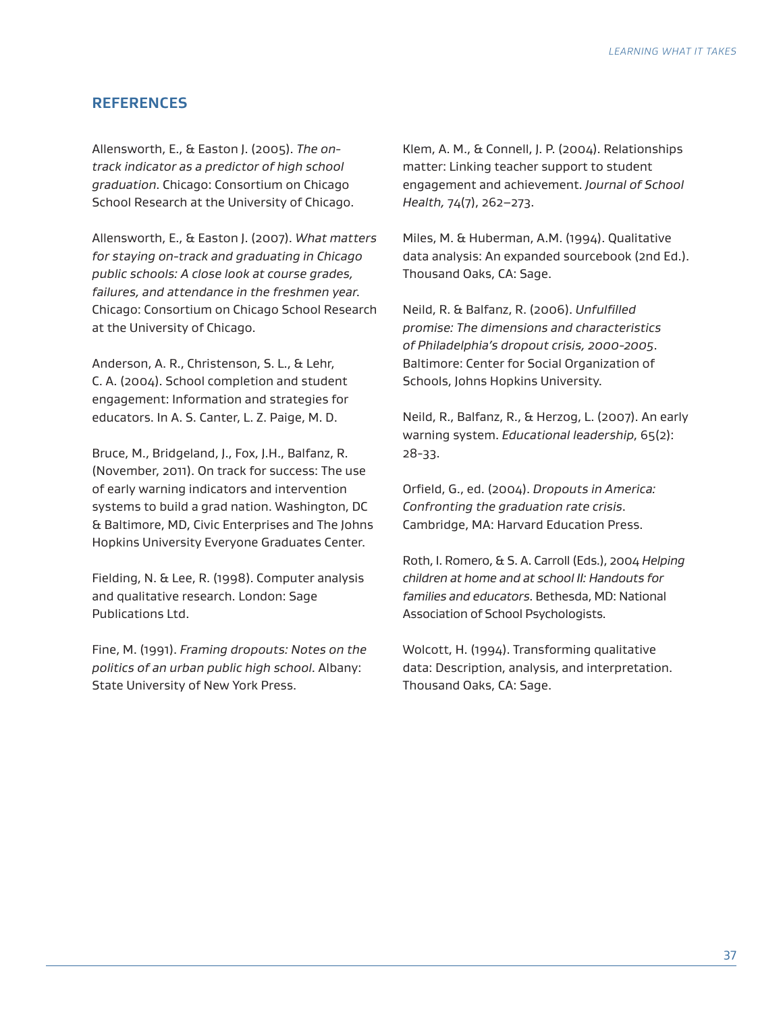#### **References**

Allensworth, E., & Easton J. (2005). *The ontrack indicator as a predictor of high school graduation*. Chicago: Consortium on Chicago School Research at the University of Chicago.

Allensworth, E., & Easton J. (2007). *What matters for staying on-track and graduating in Chicago public schools: A close look at course grades, failures, and attendance in the freshmen year*. Chicago: Consortium on Chicago School Research at the University of Chicago.

Anderson, A. R., Christenson, S. L., & Lehr, C. A. (2004). School completion and student engagement: Information and strategies for educators. In A. S. Canter, L. Z. Paige, M. D.

Bruce, M., Bridgeland, J., Fox, J.H., Balfanz, R. (November, 2011). On track for success: The use of early warning indicators and intervention systems to build a grad nation. Washington, DC & Baltimore, MD, Civic Enterprises and The Johns Hopkins University Everyone Graduates Center.

Fielding, N. & Lee, R. (1998). Computer analysis and qualitative research. London: Sage Publications Ltd.

Fine, M. (1991). *Framing dropouts: Notes on the politics of an urban public high school*. Albany: State University of New York Press.

Klem, A. M., & Connell, J. P. (2004). Relationships matter: Linking teacher support to student engagement and achievement. *Journal of School Health,* 74(7), 262–273.

Miles, M. & Huberman, A.M. (1994). Qualitative data analysis: An expanded sourcebook (2nd Ed.). Thousand Oaks, CA: Sage.

Neild, R. & Balfanz, R. (2006). *Unfulfilled promise: The dimensions and characteristics of Philadelphia's dropout crisis, 2000-2005*. Baltimore: Center for Social Organization of Schools, Johns Hopkins University.

Neild, R., Balfanz, R., & Herzog, L. (2007). An early warning system. *Educational leadership*, 65(2): 28-33.

Orfield, G., ed. (2004). *Dropouts in America: Confronting the graduation rate crisis*. Cambridge, MA: Harvard Education Press.

Roth, I. Romero, & S. A. Carroll (Eds.), 2004 *Helping children at home and at school II: Handouts for families and educators*. Bethesda, MD: National Association of School Psychologists.

Wolcott, H. (1994). Transforming qualitative data: Description, analysis, and interpretation. Thousand Oaks, CA: Sage.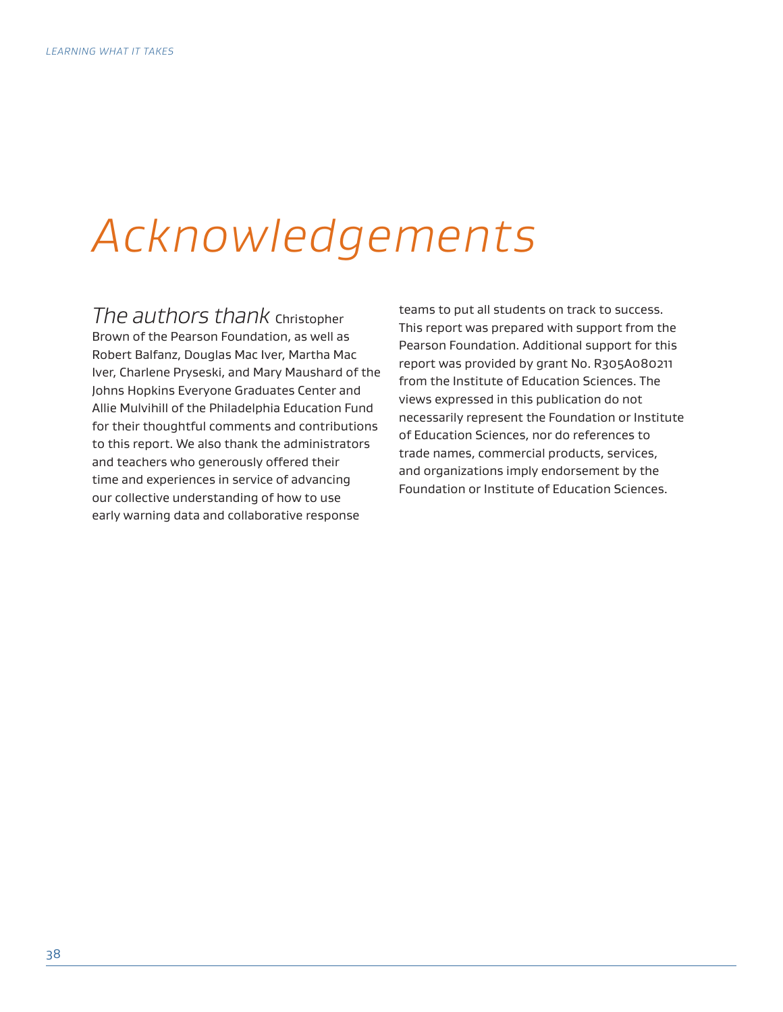# *Acknowledgements*

*The authors thank* Christopher Brown of the Pearson Foundation, as well as Robert Balfanz, Douglas Mac Iver, Martha Mac Iver, Charlene Pryseski, and Mary Maushard of the Johns Hopkins Everyone Graduates Center and Allie Mulvihill of the Philadelphia Education Fund for their thoughtful comments and contributions to this report. We also thank the administrators and teachers who generously offered their time and experiences in service of advancing our collective understanding of how to use early warning data and collaborative response

teams to put all students on track to success. This report was prepared with support from the Pearson Foundation. Additional support for this report was provided by grant No. R305A080211 from the Institute of Education Sciences. The views expressed in this publication do not necessarily represent the Foundation or Institute of Education Sciences, nor do references to trade names, commercial products, services, and organizations imply endorsement by the Foundation or Institute of Education Sciences.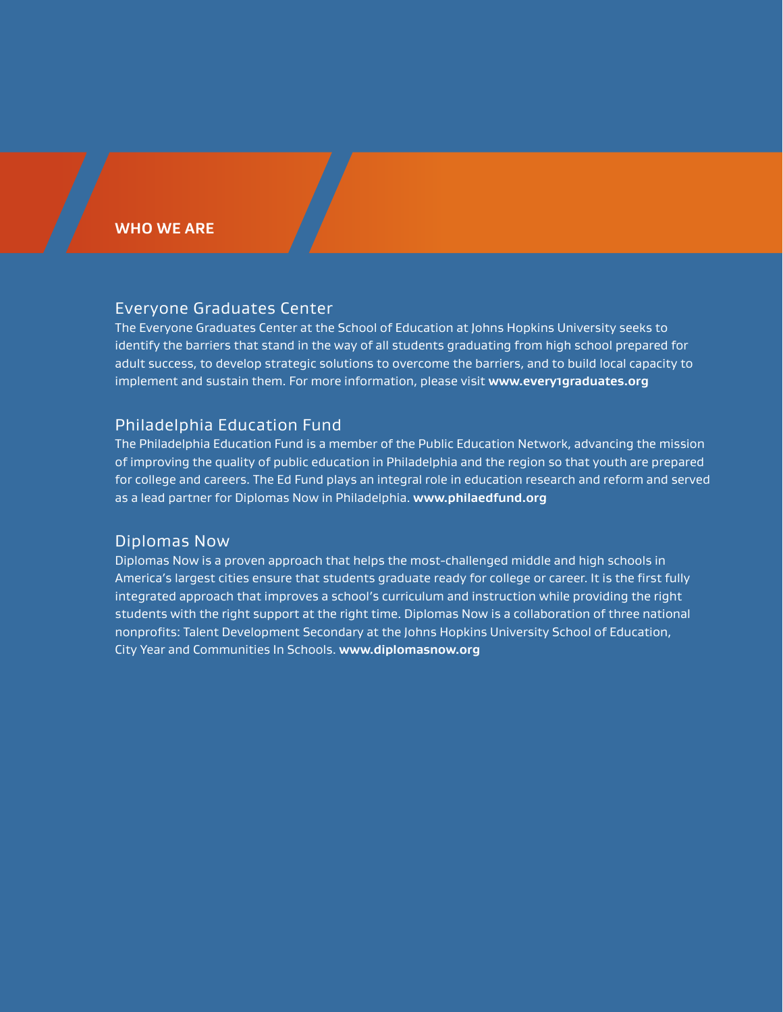#### **Who We Are**

#### Everyone Graduates Center

The Everyone Graduates Center at the School of Education at Johns Hopkins University seeks to identify the barriers that stand in the way of all students graduating from high school prepared for adult success, to develop strategic solutions to overcome the barriers, and to build local capacity to implement and sustain them. For more information, please visit **[www.every1graduates.org](http://www.every1graduates.org)**

#### Philadelphia Education Fund

The Philadelphia Education Fund is a member of the Public Education Network, advancing the mission of improving the quality of public education in Philadelphia and the region so that youth are prepared for college and careers. The Ed Fund plays an integral role in education research and reform and served as a lead partner for Diplomas Now in Philadelphia. **[www.philaedfund.org](http://www.philaedfund.org)**

#### Diplomas Now

Diplomas Now is a proven approach that helps the most-challenged middle and high schools in America's largest cities ensure that students graduate ready for college or career. It is the first fully integrated approach that improves a school's curriculum and instruction while providing the right students with the right support at the right time. Diplomas Now is a collaboration of three national nonprofits: Talent Development Secondary at the Johns Hopkins University School of Education, City Year and Communities In Schools. **[www.diplomasnow.org](http://www.diplomasnow.org)**